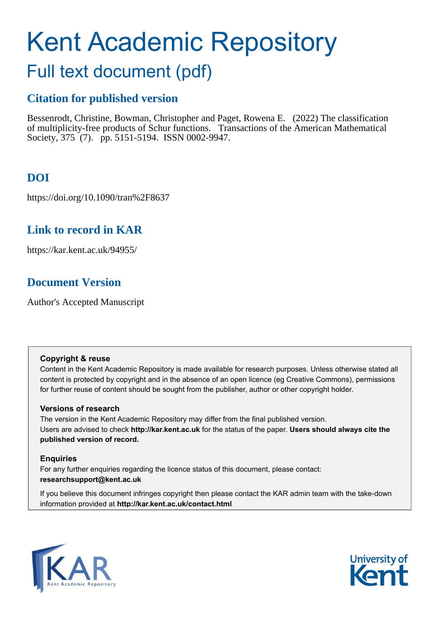# Kent Academic Repository

# Full text document (pdf)

# **Citation for published version**

Bessenrodt, Christine, Bowman, Christopher and Paget, Rowena E. (2022) The classification of multiplicity-free products of Schur functions. Transactions of the American Mathematical Society, 375 (7). pp. 5151-5194. ISSN 0002-9947.

# **DOI**

https://doi.org/10.1090/tran%2F8637

# **Link to record in KAR**

https://kar.kent.ac.uk/94955/

# **Document Version**

Author's Accepted Manuscript

# **Copyright & reuse**

Content in the Kent Academic Repository is made available for research purposes. Unless otherwise stated all content is protected by copyright and in the absence of an open licence (eg Creative Commons), permissions for further reuse of content should be sought from the publisher, author or other copyright holder.

# **Versions of research**

The version in the Kent Academic Repository may differ from the final published version. Users are advised to check **http://kar.kent.ac.uk** for the status of the paper. **Users should always cite the published version of record.**

# **Enquiries**

For any further enquiries regarding the licence status of this document, please contact: **researchsupport@kent.ac.uk**

If you believe this document infringes copyright then please contact the KAR admin team with the take-down information provided at **http://kar.kent.ac.uk/contact.html**



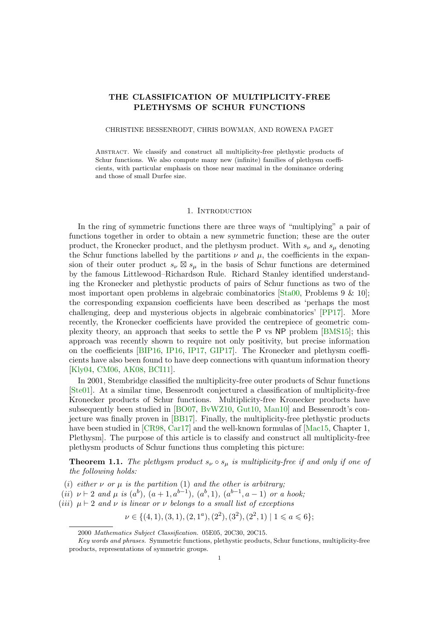#### THE CLASSIFICATION OF MULTIPLICITY-FREE PLETHYSMS OF SCHUR FUNCTIONS

#### CHRISTINE BESSENRODT, CHRIS BOWMAN, AND ROWENA PAGET

Abstract. We classify and construct all multiplicity-free plethystic products of Schur functions. We also compute many new (infinite) families of plethysm coefficients, with particular emphasis on those near maximal in the dominance ordering and those of small Durfee size.

#### 1. INTRODUCTION

In the ring of symmetric functions there are three ways of "multiplying" a pair of functions together in order to obtain a new symmetric function; these are the outer product, the Kronecker product, and the plethysm product. With  $s_{\nu}$  and  $s_{\mu}$  denoting the Schur functions labelled by the partitions  $\nu$  and  $\mu$ , the coefficients in the expansion of their outer product  $s_{\nu} \boxtimes s_{\mu}$  in the basis of Schur functions are determined by the famous Littlewood–Richardson Rule. Richard Stanley identified understanding the Kronecker and plethystic products of pairs of Schur functions as two of the most important open problems in algebraic combinatorics [Sta00, Problems 9 & 10]; the corresponding expansion coefficients have been described as 'perhaps the most challenging, deep and mysterious objects in algebraic combinatorics' [PP17]. More recently, the Kronecker coefficients have provided the centrepiece of geometric complexity theory, an approach that seeks to settle the P vs NP problem [BMS15]; this approach was recently shown to require not only positivity, but precise information on the coefficients [BIP16, IP16, IP17, GIP17]. The Kronecker and plethysm coefficients have also been found to have deep connections with quantum information theory [Kly04, CM06, AK08, BCI11].

In 2001, Stembridge classified the multiplicity-free outer products of Schur functions [Ste01]. At a similar time, Bessenrodt conjectured a classification of multiplicity-free Kronecker products of Schur functions. Multiplicity-free Kronecker products have subsequently been studied in [BO07, BvWZ10, Gut10, Man10] and Bessenrodt's conjecture was finally proven in [BB17]. Finally, the multiplicity-free plethystic products have been studied in [CR98, Car17] and the well-known formulas of [Mac15, Chapter 1, Plethysm]. The purpose of this article is to classify and construct all multiplicity-free plethysm products of Schur functions thus completing this picture:

**Theorem 1.1.** The plethysm product  $s_{\nu} \circ s_{\mu}$  is multiplicity-free if and only if one of the following holds:

- (i) either  $\nu$  or  $\mu$  is the partition (1) and the other is arbitrary;
- (ii)  $\nu \vdash 2$  and  $\mu$  is  $(a^b)$ ,  $(a+1, a^{b-1})$ ,  $(a^b, 1)$ ,  $(a^{b-1}, a-1)$  or a hook;
- (iii)  $\mu \vdash 2$  and  $\nu$  is linear or  $\nu$  belongs to a small list of exceptions

 $\nu \in \{(4,1), (3,1), (2,1^a), (2^2), (3^2), (2^2,1) \mid 1 \leq a \leq 6\};$ 

<sup>2000</sup> Mathematics Subject Classification. 05E05, 20C30, 20C15.

Key words and phrases. Symmetric functions, plethystic products, Schur functions, multiplicity-free products, representations of symmetric groups.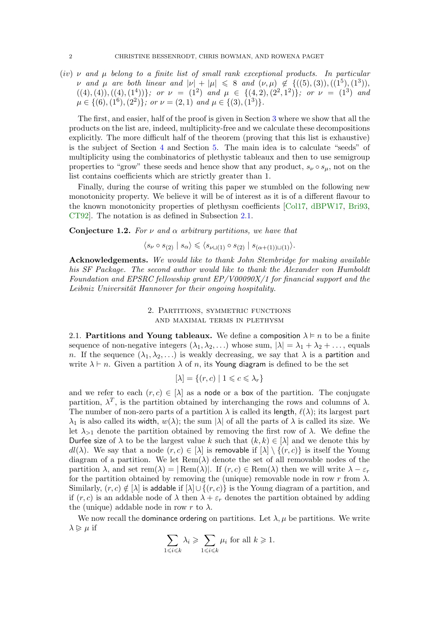(iv)  $\nu$  and  $\mu$  belong to a finite list of small rank exceptional products. In particular *ν* and μ are both linear and  $|ν| + |μ| ≤ 8$  and  $(ν, μ) ∉ {((5), (3)), ((1^5), (1^3))}$  $((4), (4)), ((4), (1<sup>4</sup>))$ ; or  $\nu = (1<sup>2</sup>)$  and  $\mu \in \{(4, 2), (2<sup>2</sup>, 1<sup>2</sup>)\}$ ; or  $\nu = (1<sup>3</sup>)$  and  $\mu \in \{(6), (1^6), (2^2)\}\; \text{or} \; \nu = (2, 1) \; \text{and} \; \mu \in \{(3), (1^3)\}\.$ 

The first, and easier, half of the proof is given in Section 3 where we show that all the products on the list are, indeed, multiplicity-free and we calculate these decompositions explicitly. The more difficult half of the theorem (proving that this list is exhaustive) is the subject of Section 4 and Section 5. The main idea is to calculate "seeds" of multiplicity using the combinatorics of plethystic tableaux and then to use semigroup properties to "grow" these seeds and hence show that any product,  $s_{\nu} \circ s_{\mu}$ , not on the list contains coefficients which are strictly greater than 1.

Finally, during the course of writing this paper we stumbled on the following new monotonicity property. We believe it will be of interest as it is of a different flavour to the known monotonicity properties of plethysm coefficients [Col17, dBPW17, Bri93, CT92]. The notation is as defined in Subsection 2.1.

Conjecture 1.2. For  $\nu$  and  $\alpha$  arbitrary partitions, we have that

 $\langle s_{\nu} \circ s_{(2)} | s_{\alpha} \rangle \leqslant \langle s_{\nu | \nu | (1)} \circ s_{(2)} | s_{(\alpha + (1)) \nu | (1)} \rangle.$ 

Acknowledgements. We would like to thank John Stembridge for making available his SF Package. The second author would like to thank the Alexander von Humboldt Foundation and EPSRC fellowship grant EP/V00090X/1 for financial support and the Leibniz Universität Hannover for their ongoing hospitality.

#### 2. Partitions, symmetric functions and maximal terms in plethysm

2.1. Partitions and Young tableaux. We define a composition  $\lambda \models n$  to be a finite sequence of non-negative integers  $(\lambda_1, \lambda_2, ...)$  whose sum,  $|\lambda| = \lambda_1 + \lambda_2 + ...$ , equals n. If the sequence  $(\lambda_1, \lambda_2, ...)$  is weakly decreasing, we say that  $\lambda$  is a partition and write  $\lambda \vdash n$ . Given a partition  $\lambda$  of n, its Young diagram is defined to be the set

$$
[\lambda] = \{(r, c) \mid 1 \leqslant c \leqslant \lambda_r\}
$$

and we refer to each  $(r, c) \in [\lambda]$  as a node or a box of the partition. The conjugate partition,  $\lambda^T$ , is the partition obtained by interchanging the rows and columns of  $\lambda$ . The number of non-zero parts of a partition  $\lambda$  is called its length,  $\ell(\lambda)$ ; its largest part  $\lambda_1$  is also called its width,  $w(\lambda)$ ; the sum  $|\lambda|$  of all the parts of  $\lambda$  is called its size. We let  $\lambda_{>1}$  denote the partition obtained by removing the first row of  $\lambda$ . We define the Durfee size of  $\lambda$  to be the largest value k such that  $(k, k) \in [\lambda]$  and we denote this by  $dl(\lambda)$ . We say that a node  $(r, c) \in [\lambda]$  is removable if  $[\lambda] \setminus \{(r, c)\}\$ is itself the Young diagram of a partition. We let  $\text{Rem}(\lambda)$  denote the set of all removable nodes of the partition  $\lambda$ , and set rem( $\lambda$ ) =  $\lvert \text{Rem}(\lambda) \rvert$ . If  $(r, c) \in \text{Rem}(\lambda)$  then we will write  $\lambda - \varepsilon_r$ for the partition obtained by removing the (unique) removable node in row r from  $\lambda$ . Similarly,  $(r, c) \notin [\lambda]$  is addable if  $[\lambda] \cup \{(r, c)\}\$ is the Young diagram of a partition, and if  $(r, c)$  is an addable node of  $\lambda$  then  $\lambda + \varepsilon_r$  denotes the partition obtained by adding the (unique) addable node in row r to  $\lambda$ .

We now recall the dominance ordering on partitions. Let  $\lambda, \mu$  be partitions. We write  $\lambda \geqslant \mu$  if

$$
\sum_{1\leqslant i\leqslant k}\lambda_i\geqslant \sum_{1\leqslant i\leqslant k}\mu_i\text{ for all }k\geqslant 1.
$$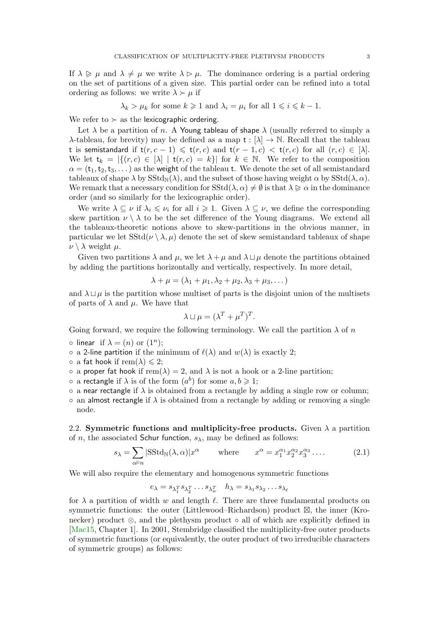If  $\lambda \geq \mu$  and  $\lambda \neq \mu$  we write  $\lambda \geq \mu$ . The dominance ordering is a partial ordering on the set of partitions of a given size. This partial order can be refined into a total ordering as follows: we write  $\lambda \succ \mu$  if

$$
\lambda_k > \mu_k
$$
 for some  $k \ge 1$  and  $\lambda_i = \mu_i$  for all  $1 \le i \le k - 1$ .

We refer to  $\succ$  as the lexicographic ordering.

Let  $\lambda$  be a partition of n. A Young tableau of shape  $\lambda$  (usually referred to simply a λ-tableau, for brevity) may be defined as a map  $t : [λ] → ℕ$ . Recall that the tableau t is semistandard if  $t(r, c - 1) \leq t(r, c)$  and  $t(r - 1, c) < t(r, c)$  for all  $(r, c) \in [\lambda]$ . We let  $t_k = |\{(r, c) \in [\lambda] | t(r, c) = k\}|$  for  $k \in \mathbb{N}$ . We refer to the composition  $\alpha = (t_1, t_2, t_3, \dots)$  as the weight of the tableau t. We denote the set of all semistandard tableaux of shape  $\lambda$  by  $SStd_N(\lambda)$ , and the subset of those having weight  $\alpha$  by  $SStd(\lambda, \alpha)$ . We remark that a necessary condition for  $SStd(\lambda, \alpha) \neq \emptyset$  is that  $\lambda \geq \alpha$  in the dominance order (and so similarly for the lexicographic order).

We write  $\lambda \subseteq \nu$  if  $\lambda_i \leq \nu_i$  for all  $i \geq 1$ . Given  $\lambda \subseteq \nu$ , we define the corresponding skew partition  $\nu \setminus \lambda$  to be the set difference of the Young diagrams. We extend all the tableaux-theoretic notions above to skew-partitions in the obvious manner, in particular we let  $SStd(\nu \setminus \lambda, \mu)$  denote the set of skew semistandard tableaux of shape  $\nu \setminus \lambda$  weight  $\mu$ .

Given two partitions  $\lambda$  and  $\mu$ , we let  $\lambda + \mu$  and  $\lambda \sqcup \mu$  denote the partitions obtained by adding the partitions horizontally and vertically, respectively. In more detail,

$$
\lambda + \mu = (\lambda_1 + \mu_1, \lambda_2 + \mu_2, \lambda_3 + \mu_3, \dots)
$$

and  $\lambda \sqcup \mu$  is the partition whose multiset of parts is the disjoint union of the multisets of parts of  $\lambda$  and  $\mu$ . We have that

$$
\lambda \sqcup \mu = (\lambda^T + \mu^T)^T.
$$

Going forward, we require the following terminology. We call the partition  $\lambda$  of n

- $\circ$  linear if  $\lambda = (n)$  or  $(1^n);$
- $\circ$  a 2-line partition if the minimum of  $\ell(\lambda)$  and  $w(\lambda)$  is exactly 2;
- $\circ$  a fat hook if rem( $\lambda$ )  $\leq 2$ ;
- $\circ$  a proper fat hook if rem( $\lambda$ ) = 2, and  $\lambda$  is not a hook or a 2-line partition;
- $\circ$  a rectangle if  $\lambda$  is of the form  $(a^b)$  for some  $a, b \geq 1$ ;
- $\circ$  a near rectangle if  $\lambda$  is obtained from a rectangle by adding a single row or column;
- $\circ$  an almost rectangle if  $\lambda$  is obtained from a rectangle by adding or removing a single node.

2.2. Symmetric functions and multiplicity-free products. Given  $\lambda$  a partition of *n*, the associated Schur function,  $s_{\lambda}$ , may be defined as follows:

$$
s_{\lambda} = \sum_{\alpha \models n} |\text{SStd}_{\mathbb{N}}(\lambda, \alpha)| x^{\alpha} \quad \text{where} \quad x^{\alpha} = x_1^{\alpha_1} x_2^{\alpha_2} x_3^{\alpha_3} \dots \quad (2.1)
$$

We will also require the elementary and homogenous symmetric functions

$$
e_{\lambda} = s_{\lambda_1^T} s_{\lambda_2^T} \dots s_{\lambda_w^T} \quad h_{\lambda} = s_{\lambda_1} s_{\lambda_2} \dots s_{\lambda_{\ell}}
$$

for  $\lambda$  a partition of width w and length  $\ell$ . There are three fundamental products on symmetric functions: the outer (Littlewood–Richardson) product  $\boxtimes$ , the inner (Kronecker) product ⊗, and the plethysm product ◦ all of which are explicitly defined in [Mac15, Chapter 1]. In 2001, Stembridge classified the multiplicity-free outer products of symmetric functions (or equivalently, the outer product of two irreducible characters of symmetric groups) as follows: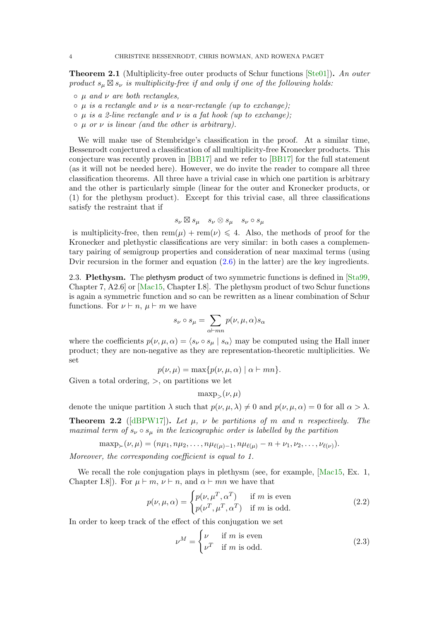**Theorem 2.1** (Multiplicity-free outer products of Schur functions  $[Ste01]$ ). An outer product  $s_{\mu} \boxtimes s_{\nu}$  is multiplicity-free if and only if one of the following holds:

- $\circ$   $\mu$  and  $\nu$  are both rectangles,
- $\circ$   $\mu$  is a rectangle and  $\nu$  is a near-rectangle (up to exchange);
- $\circ$   $\mu$  is a 2-line rectangle and  $\nu$  is a fat hook (up to exchange);
- $\circ$   $\mu$  or  $\nu$  is linear (and the other is arbitrary).

We will make use of Stembridge's classification in the proof. At a similar time, Bessenrodt conjectured a classification of all multiplicity-free Kronecker products. This conjecture was recently proven in [BB17] and we refer to [BB17] for the full statement (as it will not be needed here). However, we do invite the reader to compare all three classification theorems. All three have a trivial case in which one partition is arbitrary and the other is particularly simple (linear for the outer and Kronecker products, or (1) for the plethysm product). Except for this trivial case, all three classifications satisfy the restraint that if

$$
s_{\nu} \boxtimes s_{\mu} \quad s_{\nu} \otimes s_{\mu} \quad s_{\nu} \circ s_{\mu}
$$

is multiplicity-free, then  $rem(\mu) + rem(\nu) \leq 4$ . Also, the methods of proof for the Kronecker and plethystic classifications are very similar: in both cases a complementary pairing of semigroup properties and consideration of near maximal terms (using Dvir recursion in the former and equation  $(2.6)$  in the latter) are the key ingredients.

2.3. Plethysm. The plethysm product of two symmetric functions is defined in [Sta99, Chapter 7, A2.6] or [Mac15, Chapter I.8]. The plethysm product of two Schur functions is again a symmetric function and so can be rewritten as a linear combination of Schur functions. For  $\nu \vdash n$ ,  $\mu \vdash m$  we have

$$
s_{\nu}\circ s_{\mu}=\sum_{\alpha\vdash mn}p(\nu,\mu,\alpha)s_{\alpha}
$$

where the coefficients  $p(\nu, \mu, \alpha) = \langle s_{\nu} \circ s_{\mu} | s_{\alpha} \rangle$  may be computed using the Hall inner product; they are non-negative as they are representation-theoretic multiplicities. We set

$$
p(\nu,\mu) = \max\{p(\nu,\mu,\alpha) \mid \alpha \vdash mn\}.
$$

Given a total ordering,  $>$ , on partitions we let

 $\max_{\mathcal{P}}(\nu,\mu)$ 

denote the unique partition  $\lambda$  such that  $p(\nu, \mu, \lambda) \neq 0$  and  $p(\nu, \mu, \alpha) = 0$  for all  $\alpha > \lambda$ .

**Theorem 2.2** ([dBPW17]). Let  $\mu$ ,  $\nu$  be partitions of m and n respectively. The maximal term of  $s_{\nu} \circ s_{\mu}$  in the lexicographic order is labelled by the partition

 $\max_{\mathcal{P}} \mathcal{P}(\nu, \mu) = (n\mu_1, n\mu_2, \dots, n\mu_{\ell(\mu)-1}, n\mu_{\ell(\mu)} - n + \nu_1, \nu_2, \dots, \nu_{\ell(\nu)}).$ 

Moreover, the corresponding coefficient is equal to 1.

We recall the role conjugation plays in plethysm (see, for example, [Mac15, Ex. 1, Chapter I.8]). For  $\mu \vdash m, \nu \vdash n$ , and  $\alpha \vdash mn$  we have that

$$
p(\nu, \mu, \alpha) = \begin{cases} p(\nu, \mu^T, \alpha^T) & \text{if } m \text{ is even} \\ p(\nu^T, \mu^T, \alpha^T) & \text{if } m \text{ is odd.} \end{cases}
$$
 (2.2)

In order to keep track of the effect of this conjugation we set

$$
\nu^M = \begin{cases} \nu & \text{if } m \text{ is even} \\ \nu^T & \text{if } m \text{ is odd.} \end{cases}
$$
 (2.3)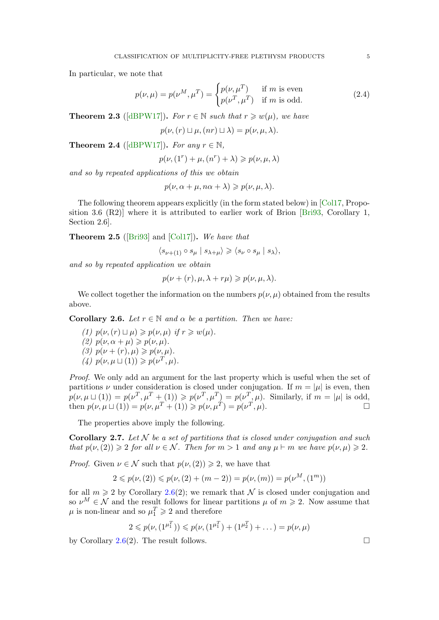In particular, we note that

$$
p(\nu,\mu) = p(\nu^M, \mu^T) = \begin{cases} p(\nu, \mu^T) & \text{if } m \text{ is even} \\ p(\nu^T, \mu^T) & \text{if } m \text{ is odd.} \end{cases}
$$
 (2.4)

**Theorem 2.3** ([dBPW17]). For  $r \in \mathbb{N}$  such that  $r \geq w(\mu)$ , we have

$$
p(\nu, (r) \sqcup \mu, (nr) \sqcup \lambda) = p(\nu, \mu, \lambda).
$$

**Theorem 2.4** ([dBPW17]). For any  $r \in \mathbb{N}$ ,

$$
p(\nu, (1^r) + \mu, (n^r) + \lambda) \geqslant p(\nu, \mu, \lambda)
$$

and so by repeated applications of this we obtain

$$
p(\nu, \alpha + \mu, n\alpha + \lambda) \geqslant p(\nu, \mu, \lambda).
$$

The following theorem appears explicitly (in the form stated below) in [Col17, Proposition 3.6 (R2)] where it is attributed to earlier work of Brion [Bri93, Corollary 1, Section 2.6].

**Theorem 2.5** ([Bri93] and [Col17]). We have that

 $\langle s_{\nu+(1)} \circ s_\mu \mid s_{\lambda+\mu} \rangle \geqslant \langle s_\nu \circ s_\mu \mid s_\lambda \rangle,$ 

and so by repeated application we obtain

$$
p(\nu + (r), \mu, \lambda + r\mu) \geqslant p(\nu, \mu, \lambda).
$$

We collect together the information on the numbers  $p(\nu, \mu)$  obtained from the results above.

**Corollary 2.6.** Let  $r \in \mathbb{N}$  and  $\alpha$  be a partition. Then we have:

(1)  $p(\nu,(r) \sqcup \mu) \geqslant p(\nu,\mu)$  if  $r \geqslant w(\mu)$ . (2)  $p(\nu, \alpha + \mu) \geqslant p(\nu, \mu)$ . (3)  $p(\nu + (r), \mu) \geq p(\nu, \mu).$ (4)  $p(\nu, \mu \sqcup (1)) \geqslant p(\nu^T, \mu).$ 

Proof. We only add an argument for the last property which is useful when the set of partitions  $\nu$  under consideration is closed under conjugation. If  $m = |\mu|$  is even, then  $p(\nu, \mu \sqcup (1)) = p(\nu^T, \mu^T + (1)) \geqslant p(\nu^T, \mu^T) = p(\nu^T, \mu)$ . Similarly, if  $m = |\mu|$  is odd, then  $p(\nu, \mu \sqcup (1)) = p(\nu, \mu^T + (1)) \geq p(\nu, \mu^T) = p(\nu^T, \mu).$ 

The properties above imply the following.

**Corollary 2.7.** Let  $N$  be a set of partitions that is closed under conjugation and such that  $p(\nu,(2)) \geq 2$  for all  $\nu \in \mathcal{N}$ . Then for  $m > 1$  and any  $\mu \vdash m$  we have  $p(\nu,\mu) \geq 2$ .

*Proof.* Given  $\nu \in \mathcal{N}$  such that  $p(\nu,(2)) \geq 2$ , we have that

$$
2 \leq p(\nu, (2)) \leq p(\nu, (2) + (m-2)) = p(\nu, (m)) = p(\nu^M, (1^m))
$$

for all  $m \geq 2$  by Corollary 2.6(2); we remark that N is closed under conjugation and so  $\nu^M \in \mathcal{N}$  and the result follows for linear partitions  $\mu$  of  $m \geq 2$ . Now assume that  $\mu$  is non-linear and so  $\mu_1^T \geq 2$  and therefore

$$
2 \leq p(\nu, (1^{\mu_1^T})) \leq p(\nu, (1^{\mu_1^T}) + (1^{\mu_2^T}) + \dots) = p(\nu, \mu)
$$

by Corollary 2.6(2). The result follows.  $\square$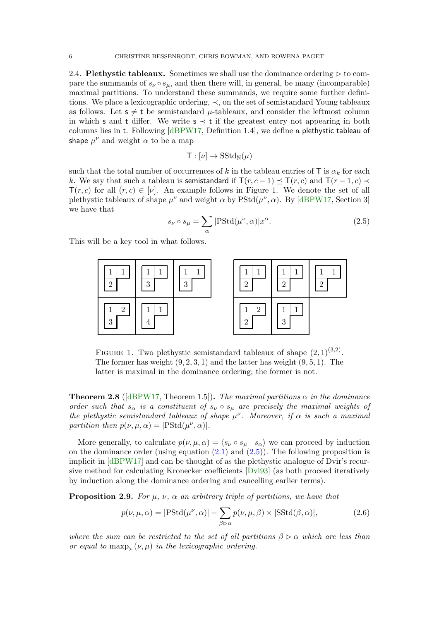2.4. Plethystic tableaux. Sometimes we shall use the dominance ordering  $\triangleright$  to compare the summands of  $s_{\nu} \circ s_{\mu}$ , and then there will, in general, be many (incomparable) maximal partitions. To understand these summands, we require some further definitions. We place a lexicographic ordering,  $\prec$ , on the set of semistandard Young tableaux as follows. Let  $s \neq t$  be semistandard  $\mu$ -tableaux, and consider the leftmost column in which s and t differ. We write  $s \prec t$  if the greatest entry not appearing in both columns lies in t. Following [dBPW17, Definition 1.4], we define a plethystic tableau of shape  $\mu^{\nu}$  and weight  $\alpha$  to be a map

$$
\mathsf{T}: [\nu] \to \mathrm{SStd}_{\mathbb{N}}(\mu)
$$

such that the total number of occurrences of k in the tableau entries of T is  $\alpha_k$  for each k. We say that such a tableau is semistandard if  $\mathsf{T}(r, c - 1) \preceq \mathsf{T}(r, c)$  and  $\mathsf{T}(r - 1, c) \preceq$  $T(r, c)$  for all  $(r, c) \in [\nu]$ . An example follows in Figure 1. We denote the set of all plethystic tableaux of shape  $\mu^{\nu}$  and weight  $\alpha$  by  $PStd(\mu^{\nu}, \alpha)$ . By [dBPW17, Section 3] we have that

$$
s_{\nu} \circ s_{\mu} = \sum_{\alpha} |\text{PStd}(\mu^{\nu}, \alpha)| x^{\alpha}.
$$
 (2.5)

This will be a key tool in what follows.



FIGURE 1. Two plethystic semistandard tableaux of shape  $(2,1)^{(3,2)}$ . The former has weight  $(9, 2, 3, 1)$  and the latter has weight  $(9, 5, 1)$ . The latter is maximal in the dominance ordering; the former is not.

**Theorem 2.8** ([dBPW17, Theorem 1.5]). The maximal partitions  $\alpha$  in the dominance order such that  $s_{\alpha}$  is a constituent of  $s_{\nu} \circ s_{\mu}$  are precisely the maximal weights of the plethystic semistandard tableaux of shape  $\mu^{\nu}$ . Moreover, if  $\alpha$  is such a maximal partition then  $p(\nu, \mu, \alpha) = |\text{PStd}(\mu^{\nu}, \alpha)|$ .

More generally, to calculate  $p(\nu, \mu, \alpha) = \langle s_{\nu} \circ s_{\mu} | s_{\alpha} \rangle$  we can proceed by induction on the dominance order (using equation  $(2.1)$  and  $(2.5)$ ). The following proposition is implicit in [dBPW17] and can be thought of as the plethystic analogue of Dvir's recursive method for calculating Kronecker coefficients [Dvi93] (as both proceed iteratively by induction along the dominance ordering and cancelling earlier terms).

**Proposition 2.9.** For  $\mu$ ,  $\nu$ ,  $\alpha$  an arbitrary triple of partitions, we have that

$$
p(\nu, \mu, \alpha) = |\text{PStd}(\mu^{\nu}, \alpha)| - \sum_{\beta \triangleright \alpha} p(\nu, \mu, \beta) \times |\text{SStd}(\beta, \alpha)|,
$$
 (2.6)

where the sum can be restricted to the set of all partitions  $\beta \triangleright \alpha$  which are less than or equal to maxp  $(\nu, \mu)$  in the lexicographic ordering.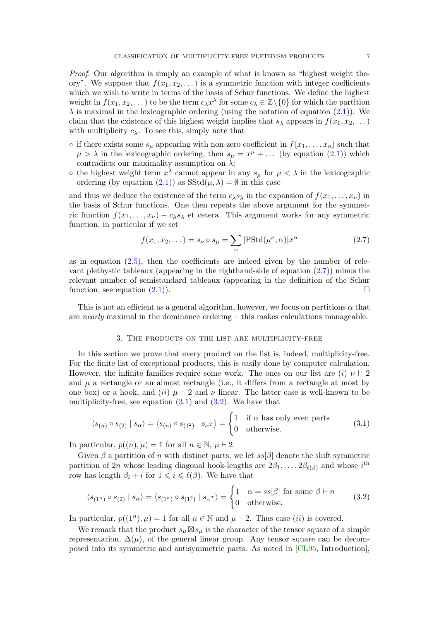Proof. Our algorithm is simply an example of what is known as "highest weight theory". We suppose that  $f(x_1, x_2, \ldots)$  is a symmetric function with integer coefficients which we wish to write in terms of the basis of Schur functions. We define the highest weight in  $f(x_1, x_2, ...)$  to be the term  $c_\lambda x^\lambda$  for some  $c_\lambda \in \mathbb{Z} \setminus \{0\}$  for which the partition  $\lambda$  is maximal in the lexicographic ordering (using the notation of equation  $(2.1)$ ). We claim that the existence of this highest weight implies that  $s_{\lambda}$  appears in  $f(x_1, x_2, \dots)$ with multiplicity  $c_{\lambda}$ . To see this, simply note that

- if there exists some  $s_{\mu}$  appearing with non-zero coefficient in  $f(x_1, \ldots, x_n)$  such that  $\mu > \lambda$  in the lexicographic ordering, then  $s_{\mu} = x^{\mu} + ...$  (by equation (2.1)) which contradicts our maximality assumption on  $\lambda$ ;
- $\circ$  the highest weight term  $x^{\lambda}$  cannot appear in any  $s_{\mu}$  for  $\mu < \lambda$  in the lexicographic ordering (by equation (2.1)) as  $SStd(\mu, \lambda) = \emptyset$  in this case

and thus we deduce the existence of the term  $c_{\lambda}s_{\lambda}$  in the expansion of  $f(x_1, \ldots, x_n)$  in the basis of Schur functions. One then repeats the above argument for the symmetric function  $f(x_1, \ldots, x_n) - c_\lambda s_\lambda$  et cetera. This argument works for any symmetric function, in particular if we set

$$
f(x_1, x_2, \dots) = s_\nu \circ s_\mu = \sum_\alpha |\text{PStd}(\mu^\nu, \alpha)| x^\alpha \tag{2.7}
$$

as in equation  $(2.5)$ , then the coefficients are indeed given by the number of relevant plethystic tableaux (appearing in the righthand-side of equation  $(2.7)$ ) minus the relevant number of semistandard tableaux (appearing in the definition of the Schur function, see equation  $(2.1)$ .

This is not an efficient as a general algorithm, however, we focus on partitions  $\alpha$  that are nearly maximal in the dominance ordering  $-$  this makes calculations manageable.

#### 3. The products on the list are multiplicity-free

In this section we prove that every product on the list is, indeed, multiplicity-free. For the finite list of exceptional products, this is easily done by computer calculation. However, the infinite families require some work. The ones on our list are  $(i) \nu \vdash 2$ and  $\mu$  a rectangle or an almost rectangle (i.e., it differs from a rectangle at most by one box) or a hook, and (ii)  $\mu \vdash 2$  and  $\nu$  linear. The latter case is well-known to be multiplicity-free, see equation  $(3.1)$  and  $(3.2)$ . We have that

$$
\langle s_{(n)} \circ s_{(2)} | s_{\alpha} \rangle = \langle s_{(n)} \circ s_{(1^2)} | s_{\alpha} \rangle = \begin{cases} 1 & \text{if } \alpha \text{ has only even parts} \\ 0 & \text{otherwise.} \end{cases}
$$
 (3.1)

In particular,  $p((n), \mu) = 1$  for all  $n \in \mathbb{N}$ ,  $\mu \vdash 2$ .

Given  $\beta$  a partition of n with distinct parts, we let  $ss[\beta]$  denote the shift symmetric partition of 2n whose leading diagonal hook-lengths are  $2\beta_1, \ldots, 2\beta_{\ell(\beta)}$  and whose  $i^{\text{th}}$ row has length  $\beta_i + i$  for  $1 \leq i \leq \ell(\beta)$ . We have that

$$
\langle s_{(1^n)} \circ s_{(2)} \mid s_{\alpha} \rangle = \langle s_{(1^n)} \circ s_{(1^2)} \mid s_{\alpha^T} \rangle = \begin{cases} 1 & \alpha = ss[\beta] \text{ for some } \beta \vdash n \\ 0 & \text{otherwise.} \end{cases}
$$
 (3.2)

In particular,  $p((1^n), \mu) = 1$  for all  $n \in \mathbb{N}$  and  $\mu \vdash 2$ . Thus case *(ii)* is covered.

We remark that the product  $s_{\mu} \boxtimes s_{\mu}$  is the character of the tensor square of a simple representation,  $\Delta(\mu)$ , of the general linear group. Any tensor square can be decomposed into its symmetric and antisymmetric parts. As noted in [CL95, Introduction],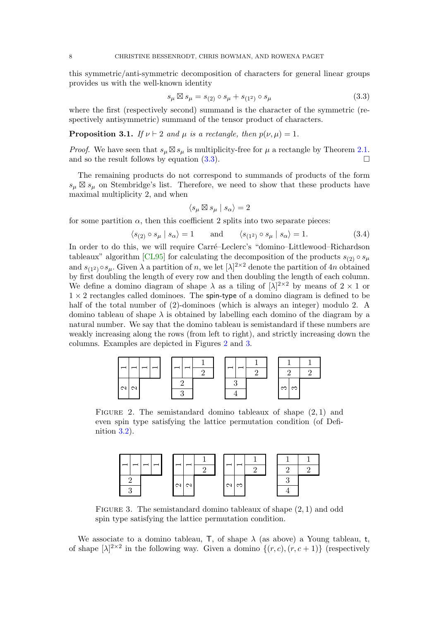this symmetric/anti-symmetric decomposition of characters for general linear groups provides us with the well-known identity

$$
s_{\mu} \boxtimes s_{\mu} = s_{(2)} \circ s_{\mu} + s_{(1^2)} \circ s_{\mu} \tag{3.3}
$$

where the first (respectively second) summand is the character of the symmetric (respectively antisymmetric) summand of the tensor product of characters.

#### **Proposition 3.1.** If  $\nu \vdash 2$  and  $\mu$  is a rectangle, then  $p(\nu, \mu) = 1$ .

*Proof.* We have seen that  $s_{\mu} \boxtimes s_{\mu}$  is multiplicity-free for  $\mu$  a rectangle by Theorem 2.1. and so the result follows by equation (3.3).

The remaining products do not correspond to summands of products of the form  $s_{\mu} \boxtimes s_{\mu}$  on Stembridge's list. Therefore, we need to show that these products have maximal multiplicity 2, and when

$$
\langle s_\mu\boxtimes s_\mu \mid s_\alpha\rangle=2
$$

for some partition  $\alpha$ , then this coefficient 2 splits into two separate pieces:

$$
\langle s_{(2)} \circ s_{\mu} \mid s_{\alpha} \rangle = 1 \quad \text{and} \quad \langle s_{(1^2)} \circ s_{\mu} \mid s_{\alpha} \rangle = 1. \tag{3.4}
$$

In order to do this, we will require Carré–Leclerc's "domino–Littlewood–Richardson tableaux" algorithm [CL95] for calculating the decomposition of the products  $s_{(2)} \circ s_{\mu}$ and  $s_{(1^2)} \circ s_\mu$ . Given  $\lambda$  a partition of n, we let  $[\lambda]^{2 \times 2}$  denote the partition of 4n obtained by first doubling the length of every row and then doubling the length of each column. We define a domino diagram of shape  $\lambda$  as a tiling of  $[\lambda]^{2\times 2}$  by means of  $2 \times 1$  or  $1 \times 2$  rectangles called dominoes. The spin-type of a domino diagram is defined to be half of the total number of (2)-dominoes (which is always an integer) modulo 2. A domino tableau of shape  $\lambda$  is obtained by labelling each domino of the diagram by a natural number. We say that the domino tableau is semistandard if these numbers are weakly increasing along the rows (from left to right), and strictly increasing down the columns. Examples are depicted in Figures 2 and 3.



FIGURE 2. The semistandard domino tableaux of shape  $(2, 1)$  and even spin type satisfying the lattice permutation condition (of Definition 3.2).

|          | $\overline{\phantom{0}}$ |               |   |                |   |   |  |
|----------|--------------------------|---------------|---|----------------|---|---|--|
|          |                          |               | ∩ |                | ົ | ٬ |  |
| റ        |                          | $\frac{1}{2}$ |   | $  \Omega  $ က |   | ↶ |  |
| $\Omega$ |                          |               |   |                |   |   |  |

FIGURE 3. The semistandard domino tableaux of shape  $(2, 1)$  and odd spin type satisfying the lattice permutation condition.

We associate to a domino tableau, T, of shape  $\lambda$  (as above) a Young tableau, t, of shape  $[\lambda]^{2\times 2}$  in the following way. Given a domino  $\{(r,c),(r,c+1)\}$  (respectively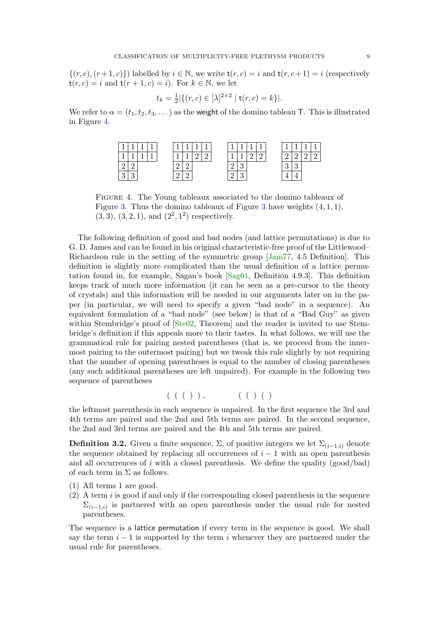$\{(r, c), (r+1, c)\}\$  labelled by  $i \in \mathbb{N}$ , we write  $t(r, c) = i$  and  $t(r, c+1) = i$  (respectively  $t(r, c) = i$  and  $t(r + 1, c) = i$ ). For  $k \in \mathbb{N}$ , we let

$$
t_k = \frac{1}{2} |\{ (r, c) \in [\lambda]^{2 \times 2} \mid \mathsf{t}(r, c) = k \}|.
$$

We refer to  $\alpha = (t_1, t_2, t_3, \dots)$  as the weight of the domino tableau T. This is illustrated in Figure 4.

|               | ×             |  |  |  |  |   | ×. |   | ۰             | ۰ |   |
|---------------|---------------|--|--|--|--|---|----|---|---------------|---|---|
|               |               |  |  |  |  |   |    | ┙ | ∸             |   | ↩ |
| -             |               |  |  |  |  | ↵ | ບ  |   | $\Omega$<br>ັ |   |   |
| $\Omega$<br>◡ | $\Omega$<br>u |  |  |  |  | ↵ | ື  |   |               |   |   |

Figure 4. The Young tableaux associated to the domino tableaux of Figure 3. Thus the domino tableaux of Figure 3 have weights  $(4, 1, 1)$ ,  $(3,3), (3,2,1), \text{ and } (2^2,1^2)$  respectively.

The following definition of good and bad nodes (and lattice permutations) is due to G. D. James and can be found in his original characteristic-free proof of the Littlewood– Richardson rule in the setting of the symmetric group [Jam77, 4.5 Definition]. This definition is slightly more complicated than the usual definition of a lattice permutation found in, for example, Sagan's book [Sag01, Definition 4.9.3]. This definition keeps track of much more information (it can be seen as a pre-cursor to the theory of crystals) and this information will be needed in our arguments later on in the paper (in particular, we will need to specify a given "bad node" in a sequence). An equivalent formulation of a "bad node" (see below) is that of a "Bad Guy" as given within Stembridge's proof of  $[Ste02, Theorem]$  and the reader is invited to use Stembridge's definition if this appeals more to their tastes. In what follows, we will use the grammatical rule for pairing nested parentheses (that is, we proceed from the innermost pairing to the outermost pairing) but we tweak this rule slightly by not requiring that the number of opening parentheses is equal to the number of closing parentheses (any such additional parentheses are left unpaired). For example in the following two sequence of parentheses

 $((()), (()))$ 

the leftmost parenthesis in each sequence is unpaired. In the first sequence the 3rd and 4th terms are paired and the 2nd and 5th terms are paired. In the second sequence, the 2nd and 3rd terms are paired and the 4th and 5th terms are paired.

**Definition 3.2.** Given a finite sequence,  $\Sigma$ , of positive integers we let  $\Sigma_{(i-1,i)}$  denote the sequence obtained by replacing all occurrences of  $i - 1$  with an open parenthesis and all occurrences of  $i$  with a closed parenthesis. We define the quality (good/bad) of each term in  $\Sigma$  as follows.

- (1) All terms 1 are good.
- $(2)$  A term i is good if and only if the corresponding closed parenthesis in the sequence  $\Sigma_{(i-1,i)}$  is partnered with an open parenthesis under the usual rule for nested parentheses.

The sequence is a lattice permutation if every term in the sequence is good. We shall say the term  $i - 1$  is supported by the term i whenever they are partnered under the usual rule for parentheses.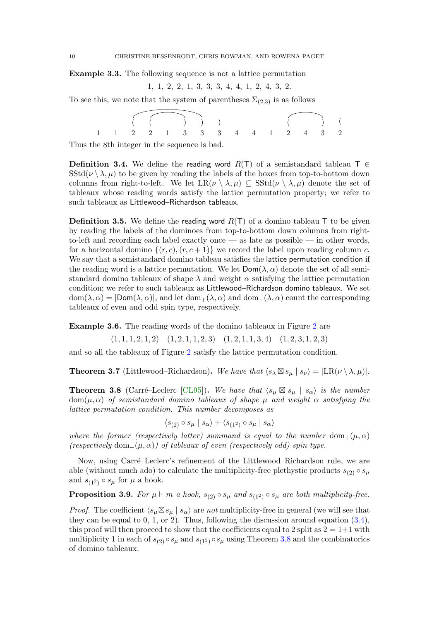Example 3.3. The following sequence is not a lattice permutation

$$
1, 1, 2, 2, 1, 3, 3, 3, 4, 4, 1, 2, 4, 3, 2.
$$

To see this, we note that the system of parentheses  $\Sigma_{(2,3)}$  is as follows

( ( ) ) ) ( ) 1 1 2 2 1 3 3 3 4 4 1 2 4 3 2 (

Thus the 8th integer in the sequence is bad.

**Definition 3.4.** We define the reading word  $R(T)$  of a semistandard tableau T  $\in$  $SStd(\nu \setminus \lambda, \mu)$  to be given by reading the labels of the boxes from top-to-bottom down columns from right-to-left. We let  $LR(\nu \setminus \lambda, \mu) \subseteq \text{SStd}(\nu \setminus \lambda, \mu)$  denote the set of tableaux whose reading words satisfy the lattice permutation property; we refer to such tableaux as Littlewood–Richardson tableaux.

**Definition 3.5.** We define the reading word  $R(T)$  of a domino tableau T to be given by reading the labels of the dominoes from top-to-bottom down columns from rightto-left and recording each label exactly once — as late as possible — in other words, for a horizontal domino  $\{(r, c), (r, c + 1)\}\$  we record the label upon reading column c. We say that a semistandard domino tableau satisfies the lattice permutation condition if the reading word is a lattice permutation. We let  $\mathsf{Dom}(\lambda, \alpha)$  denote the set of all semistandard domino tableaux of shape  $\lambda$  and weight  $\alpha$  satisfying the lattice permutation condition; we refer to such tableaux as Littlewood–Richardson domino tableaux. We set  $dom(\lambda, \alpha) = |Dom(\lambda, \alpha)|$ , and let  $dom_+(\lambda, \alpha)$  and  $dom_-(\lambda, \alpha)$  count the corresponding tableaux of even and odd spin type, respectively.

Example 3.6. The reading words of the domino tableaux in Figure 2 are

 $(1, 1, 1, 2, 1, 2)$   $(1, 2, 1, 1, 2, 3)$   $(1, 2, 1, 1, 3, 4)$   $(1, 2, 3, 1, 2, 3)$ 

and so all the tableaux of Figure 2 satisfy the lattice permutation condition.

**Theorem 3.7** (Littlewood–Richardson). We have that  $\langle s_{\lambda} \boxtimes s_{\mu} | s_{\nu} \rangle = |LR(\nu \setminus \lambda, \mu)|$ .

**Theorem 3.8** (Carré–Leclerc [CL95]). We have that  $\langle s_\mu \boxtimes s_\mu | s_\alpha \rangle$  is the number  $dom(\mu, \alpha)$  of semistandard domino tableaux of shape  $\mu$  and weight  $\alpha$  satisfying the lattice permutation condition. This number decomposes as

$$
\langle s_{(2)} \circ s_{\mu} \mid s_{\alpha} \rangle + \langle s_{(1^2)} \circ s_{\mu} \mid s_{\alpha} \rangle
$$

where the former (respectively latter) summand is equal to the number dom  $+(\mu, \alpha)$ (respectively dom<sub>−</sub>( $\mu$ , $\alpha$ )) of tableaux of even (respectively odd) spin type.

Now, using Carré–Leclerc's refinement of the Littlewood–Richardson rule, we are able (without much ado) to calculate the multiplicity-free plethystic products  $s_{(2)} \circ s_{\mu}$ and  $s_{(1^2)} \circ s_\mu$  for  $\mu$  a hook.

**Proposition 3.9.** For  $\mu \vdash m$  a hook,  $s_{(2)} \circ s_{\mu}$  and  $s_{(1^2)} \circ s_{\mu}$  are both multiplicity-free.

*Proof.* The coefficient  $\langle s_\mu \boxtimes s_\mu | s_\alpha \rangle$  are not multiplicity-free in general (we will see that they can be equal to 0, 1, or 2). Thus, following the discussion around equation  $(3.4)$ , this proof will then proceed to show that the coefficients equal to 2 split as  $2 = 1+1$  with multiplicity 1 in each of  $s_{(2)} \circ s_\mu$  and  $s_{(1^2)} \circ s_\mu$  using Theorem 3.8 and the combinatorics of domino tableaux.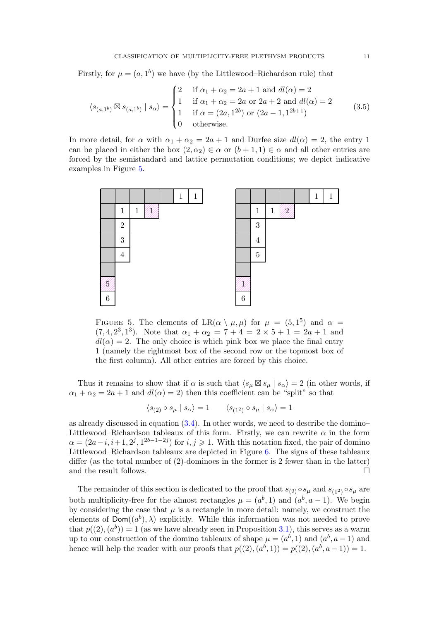Firstly, for  $\mu = (a, 1^b)$  we have (by the Littlewood–Richardson rule) that

$$
\langle s_{(a,1^b)} \boxtimes s_{(a,1^b)} | s_{\alpha} \rangle = \begin{cases} 2 & \text{if } \alpha_1 + \alpha_2 = 2a + 1 \text{ and } dl(\alpha) = 2 \\ 1 & \text{if } \alpha_1 + \alpha_2 = 2a \text{ or } 2a + 2 \text{ and } dl(\alpha) = 2 \\ 1 & \text{if } \alpha = (2a, 1^{2b}) \text{ or } (2a - 1, 1^{2b+1}) \\ 0 & \text{otherwise.} \end{cases}
$$
(3.5)

In more detail, for  $\alpha$  with  $\alpha_1 + \alpha_2 = 2a + 1$  and Durfee size  $dl(\alpha) = 2$ , the entry 1 can be placed in either the box  $(2, \alpha_2) \in \alpha$  or  $(b+1, 1) \in \alpha$  and all other entries are forced by the semistandard and lattice permutation conditions; we depict indicative examples in Figure 5.



FIGURE 5. The elements of LR( $\alpha \setminus \mu, \mu$ ) for  $\mu = (5, 1^5)$  and  $\alpha =$  $(7, 4, 2^3, 1^3)$ . Note that  $\alpha_1 + \alpha_2 = 7 + 4 = 2 \times 5 + 1 = 2a + 1$  and  $dl(\alpha) = 2$ . The only choice is which pink box we place the final entry 1 (namely the rightmost box of the second row or the topmost box of the first column). All other entries are forced by this choice.

Thus it remains to show that if  $\alpha$  is such that  $\langle s_\mu \boxtimes s_\mu | s_\alpha \rangle = 2$  (in other words, if  $\alpha_1 + \alpha_2 = 2a + 1$  and  $dl(\alpha) = 2$ ) then this coefficient can be "split" so that

$$
\langle s_{(2)} \circ s_{\mu} | s_{\alpha} \rangle = 1 \qquad \langle s_{(1^2)} \circ s_{\mu} | s_{\alpha} \rangle = 1
$$

as already discussed in equation  $(3.4)$ . In other words, we need to describe the domino– Littlewood–Richardson tableaux of this form. Firstly, we can rewrite  $\alpha$  in the form  $\alpha = (2a - i, i + 1, 2^{j}, 1^{2b-1-2j})$  for  $i, j \geq 1$ . With this notation fixed, the pair of domino Littlewood–Richardson tableaux are depicted in Figure 6. The signs of these tableaux differ (as the total number of (2)-dominoes in the former is 2 fewer than in the latter) and the result follows.

The remainder of this section is dedicated to the proof that  $s_{(2)} \circ s_\mu$  and  $s_{(1^2)} \circ s_\mu$  are both multiplicity-free for the almost rectangles  $\mu = (a^b, 1)$  and  $(a^b, a - 1)$ . We begin by considering the case that  $\mu$  is a rectangle in more detail: namely, we construct the elements of  $\textsf{Dom}((a^b),\lambda)$  explicitly. While this information was not needed to prove that  $p((2), (a^b)) = 1$  (as we have already seen in Proposition 3.1), this serves as a warm up to our construction of the domino tableaux of shape  $\mu = (a^b, 1)$  and  $(a^b, a - 1)$  and hence will help the reader with our proofs that  $p((2), (a^b, 1)) = p((2), (a^b, a-1)) = 1$ .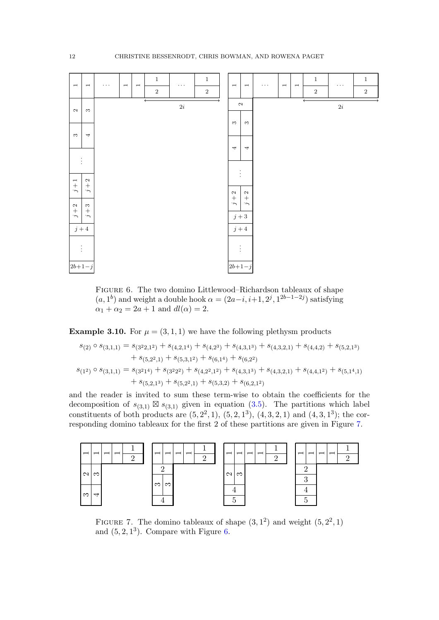

Figure 6. The two domino Littlewood–Richardson tableaux of shape  $(a, 1<sup>b</sup>)$  and weight a double hook  $\alpha = (2a-i, i+1, 2<sup>j</sup>, 1<sup>2b-1-2j</sup>)$  satisfying  $\alpha_1 + \alpha_2 = 2a + 1$  and  $dl(\alpha) = 2$ .

**Example 3.10.** For  $\mu = (3, 1, 1)$  we have the following plethysm products

$$
\begin{aligned} s_{(2)} \circ s_{(3,1,1)} &= s_{(3^2 2,1^2)} + s_{(4,2,1^4)} + s_{(4,2^3)} + s_{(4,3,1^3)} + s_{(4,3,2,1)} + s_{(4,4,2)} + s_{(5,2,1^3)} \\ &\quad + s_{(5,2^2,1)} + s_{(5,3,1^2)} + s_{(6,1^4)} + s_{(6,2^2)} \\ s_{(1^2)} \circ s_{(3,1,1)} &= s_{(3^2 1^4)} + s_{(3^2 2^2)} + s_{(4,2^2,1^2)} + s_{(4,3,1^3)} + s_{(4,3,2,1)} + s_{(4,4,1^2)} + s_{(5,1^4,1)} \\ &\quad + s_{(5,2,1^3)} + s_{(5,2^2,1)} + s_{(5,3,2)} + s_{(6,2,1^2)} \end{aligned}
$$

and the reader is invited to sum these term-wise to obtain the coefficients for the decomposition of  $s_{(3,1)} \boxtimes s_{(3,1)}$  given in equation (3.5). The partitions which label constituents of both products are  $(5, 2^2, 1)$ ,  $(5, 2, 1^3)$ ,  $(4, 3, 2, 1)$  and  $(4, 3, 1^3)$ ; the corresponding domino tableaux for the first 2 of these partitions are given in Figure 7.



FIGURE 7. The domino tableaux of shape  $(3, 1^2)$  and weight  $(5, 2^2, 1)$ and  $(5, 2, 1^3)$ . Compare with Figure 6.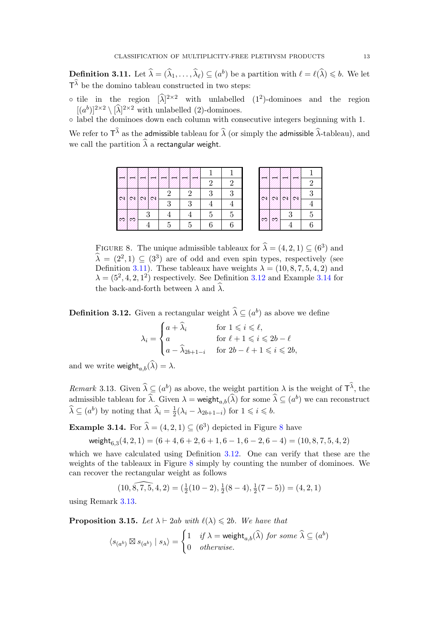**Definition 3.11.** Let  $\widehat{\lambda} = (\widehat{\lambda}_1, \dots, \widehat{\lambda}_{\ell}) \subseteq (a^b)$  be a partition with  $\ell = \ell(\widehat{\lambda}) \leq b$ . We let  $T^{\lambda}$  be the domino tableau constructed in two steps:

 $\circ$  tile in the region  $[\lambda]^{2\times 2}$  with unlabelled  $(1^2)$ -dominoes and the region  $[(a^b)]^{2\times 2} \setminus [\hat{\lambda}]^{2\times 2}$  with unlabelled (2)-dominoes.

◦ label the dominoes down each column with consecutive integers beginning with 1.

We refer to  $T^{\lambda}$  as the admissible tableau for  $\hat{\lambda}$  (or simply the admissible  $\hat{\lambda}$ -tableau), and we call the partition  $\widehat{\lambda}$  a rectangular weight.

|    |   |   |    |   | 2             | 2 |
|----|---|---|----|---|---------------|---|
|    |   |   |    | 2 | २             | q |
|    | D |   | 3  | 3 |               |   |
|    |   | 3 |    |   | $\frac{5}{2}$ | 5 |
| 97 |   |   | .5 | 5 |               |   |

|  |   | $\boldsymbol{2}$ |  |
|--|---|------------------|--|
|  |   | 3                |  |
|  |   |                  |  |
|  | 3 | $\overline{5}$   |  |
|  |   | $\overline{6}$   |  |

FIGURE 8. The unique admissible tableaux for  $\hat{\lambda} = (4, 2, 1) \subseteq (6^3)$  and  $\widehat{\lambda} = (2^2, 1) \subseteq (3^3)$  are of odd and even spin types, respectively (see Definition 3.11). These tableaux have weights  $\lambda = (10, 8, 7, 5, 4, 2)$  and  $\lambda = (5^2, 4, 2, 1^2)$  respectively. See Definition 3.12 and Example 3.14 for the back-and-forth between  $\lambda$  and  $\widehat{\lambda}$ .

**Definition 3.12.** Given a rectangular weight  $\widehat{\lambda} \subseteq (a^b)$  as above we define

$$
\lambda_i = \begin{cases}\n a + \widehat{\lambda}_i & \text{for } 1 \leq i \leq \ell, \\
a & \text{for } \ell + 1 \leq i \leq 2b - \ell \\
a - \widehat{\lambda}_{2b+1-i} & \text{for } 2b - \ell + 1 \leq i \leq 2b,\n\end{cases}
$$

and we write weight $_{a,b}(\widehat{\lambda}) = \lambda$ .

Remark 3.13. Given  $\hat{\lambda} \subseteq (a^b)$  as above, the weight partition  $\lambda$  is the weight of  $\mathsf{T}^{\lambda}$ , the admissible tableau for  $\hat{\lambda}$ . Given  $\lambda =$  weight $_{a,b}(\hat{\lambda})$  for some  $\hat{\lambda} \subseteq (a^b)$  we can reconstruct  $\widehat{\lambda} \subseteq (a^b)$  by noting that  $\widehat{\lambda}_i = \frac{1}{2}$  $\frac{1}{2}(\lambda_i - \lambda_{2b+1-i})$  for  $1 \leq i \leq b$ .

**Example 3.14.** For  $\hat{\lambda} = (4, 2, 1) \subseteq (6^3)$  depicted in Figure 8 have

weight $_{6,3}(4, 2, 1) = (6 + 4, 6 + 2, 6 + 1, 6 - 1, 6 - 2, 6 - 4) = (10, 8, 7, 5, 4, 2)$ 

which we have calculated using Definition 3.12. One can verify that these are the weights of the tableaux in Figure 8 simply by counting the number of dominoes. We can recover the rectangular weight as follows

$$
(10, \widehat{8, 7, 5}, 4, 2) = (\frac{1}{2}(10 - 2), \frac{1}{2}(8 - 4), \frac{1}{2}(7 - 5)) = (4, 2, 1)
$$

using Remark 3.13.

**Proposition 3.15.** Let  $\lambda \vdash 2ab$  with  $\ell(\lambda) \leq 2b$ . We have that

$$
\langle s_{(a^b)} \boxtimes s_{(a^b)} \mid s_\lambda \rangle = \begin{cases} 1 & \text{if } \lambda = \text{weight}_{a,b}(\widehat{\lambda}) \text{ for some } \widehat{\lambda} \subseteq (a^b) \\ 0 & \text{otherwise.} \end{cases}
$$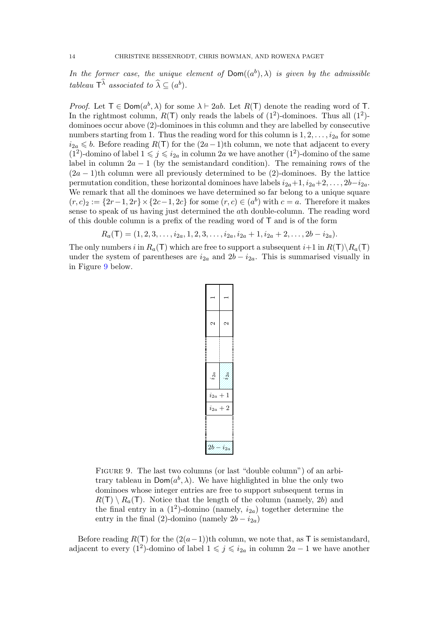In the former case, the unique element of  $Dom((a^b), \lambda)$  is given by the admissible tableau  $\mathsf{T}^{\lambda}$  associated to  $\widehat{\lambda} \subseteq (a^b)$ .

*Proof.* Let  $T \in \text{Dom}(a^b, \lambda)$  for some  $\lambda \vdash 2ab$ . Let  $R(T)$  denote the reading word of T. In the rightmost column,  $R(T)$  only reads the labels of  $(1^2)$ -dominoes. Thus all  $(1^2)$ dominoes occur above (2)-dominoes in this column and they are labelled by consecutive numbers starting from 1. Thus the reading word for this column is  $1, 2, \ldots, i_{2a}$  for some  $i_{2a}$  ≤ b. Before reading R(T) for the  $(2a-1)$ th column, we note that adjacent to every (1<sup>2</sup>)-domino of label  $1 \leqslant j \leqslant i_{2a}$  in column 2a we have another (1<sup>2</sup>)-domino of the same label in column  $2a - 1$  (by the semistandard condition). The remaining rows of the  $(2a - 1)$ th column were all previously determined to be (2)-dominoes. By the lattice permutation condition, these horizontal dominoes have labels  $i_{2a}+1$ ,  $i_{2a}+2$ , ...,  $2b-i_{2a}$ . We remark that all the dominoes we have determined so far belong to a unique square  $(r, c)_2 := \{2r-1, 2r\} \times \{2c-1, 2c\}$  for some  $(r, c) \in (a^b)$  with  $c = a$ . Therefore it makes sense to speak of us having just determined the ath double-column. The reading word of this double column is a prefix of the reading word of T and is of the form

$$
R_a(\mathsf{T})=(1,2,3,\ldots,i_{2a},1,2,3,\ldots,i_{2a},i_{2a}+1,i_{2a}+2,\ldots,2b-i_{2a}).
$$

The only numbers i in  $R_a(\mathsf{T})$  which are free to support a subsequent  $i+1$  in  $R(\mathsf{T})\backslash R_a(\mathsf{T})$ under the system of parentheses are  $i_{2a}$  and  $2b - i_{2a}$ . This is summarised visually in in Figure 9 below.

| ۹          | ł                   |
|------------|---------------------|
| N          | Ñ                   |
|            |                     |
| $i_{2a}$   |                     |
| $i_{2a}$   | 1<br>$\overline{1}$ |
| $i_{2a}$   | 2<br>⊣              |
|            |                     |
| $2\bar{b}$ | i2a                 |

FIGURE 9. The last two columns (or last "double column") of an arbitrary tableau in  $\textsf{Dom}(a^b, \lambda)$ . We have highlighted in blue the only two dominoes whose integer entries are free to support subsequent terms in  $R(T) \setminus R_a(T)$ . Notice that the length of the column (namely, 2b) and the final entry in a  $(1^2)$ -domino (namely,  $i_{2a}$ ) together determine the entry in the final (2)-domino (namely  $2b - i_{2a}$ )

Before reading  $R(T)$  for the  $(2(a-1))$ th column, we note that, as T is semistandard, adjacent to every (1<sup>2</sup>)-domino of label  $1 \leqslant j \leqslant i_{2a}$  in column  $2a - 1$  we have another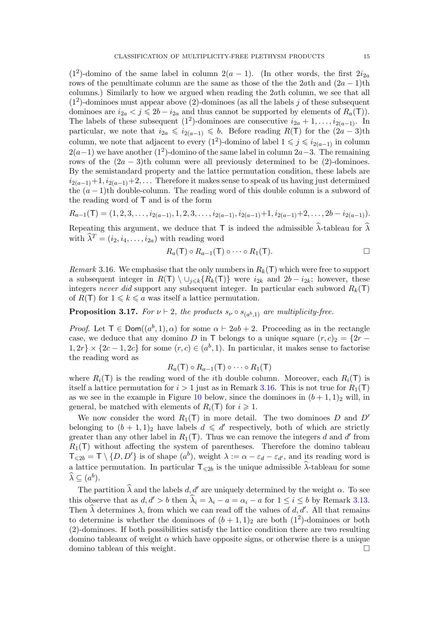(1<sup>2</sup>)-domino of the same label in column  $2(a - 1)$ . (In other words, the first  $2i_{2a}$ rows of the penultimate column are the same as those of the the 2ath and  $(2a - 1)$ th columns.) Similarly to how we argued when reading the 2ath column, we see that all  $(1<sup>2</sup>)$ -dominoes must appear above  $(2)$ -dominoes (as all the labels j of these subsequent dominoes are  $i_{2a} < j \leq 2b - i_{2a}$  and thus cannot be supported by elements of  $R_a(\mathsf{T})$ ). The labels of these subsequent (1<sup>2</sup>)-dominoes are consecutive  $i_{2a} + 1, \ldots, i_{2(a-1)}$ . In particular, we note that  $i_{2a} \leq i_{2(a-1)} \leq b$ . Before reading  $R(T)$  for the  $(2a-3)$ th column, we note that adjacent to every  $(1^2)$ -domino of label  $1 \leqslant j \leqslant i_{2(a-1)}$  in column  $2(a-1)$  we have another (1<sup>2</sup>)-domino of the same label in column  $2a-3$ . The remaining rows of the  $(2a - 3)$ th column were all previously determined to be  $(2)$ -dominoes. By the semistandard property and the lattice permutation condition, these labels are  $i_{2(a-1)}+1$ ,  $i_{2(a-1)}+2$ ,... Therefore it makes sense to speak of us having just determined the  $(a - 1)$ th double-column. The reading word of this double column is a subword of the reading word of T and is of the form

$$
R_{a-1}(\mathsf{T})=(1,2,3,\ldots,i_{2(a-1)},1,2,3,\ldots,i_{2(a-1)},i_{2(a-1)}+1,i_{2(a-1)}+2,\ldots,2b-i_{2(a-1)}).
$$

Repeating this argument, we deduce that T is indeed the admissible  $\hat{\lambda}$ -tableau for  $\hat{\lambda}$ with  $\hat{\lambda}^T = (i_2, i_4, \ldots, i_{2a})$  with reading word

$$
R_a(\mathsf{T}) \circ R_{a-1}(\mathsf{T}) \circ \cdots \circ R_1(\mathsf{T}). \square
$$

Remark 3.16. We emphasise that the only numbers in  $R_k(T)$  which were free to support a subsequent integer in  $R(T) \setminus \cup_{i \leq k} \{R_k(T)\}\$  were  $i_{2k}$  and  $2b - i_{2k}$ ; however, these integers never did support any subsequent integer. In particular each subword  $R_k(\mathsf{T})$ of  $R(T)$  for  $1 \leq k \leq a$  was itself a lattice permutation.

**Proposition 3.17.** For  $\nu \vdash 2$ , the products  $s_{\nu} \circ s_{(a^b,1)}$  are multiplicity-free.

*Proof.* Let  $T \in Dom((a^b, 1), \alpha)$  for some  $\alpha \vdash 2ab + 2$ . Proceeding as in the rectangle case, we deduce that any domino D in T belongs to a unique square  $(r, c)_2 = \{2r 1, 2r$  ×  $\{2c-1, 2c\}$  for some  $(r, c) \in (a^b, 1)$ . In particular, it makes sense to factorise the reading word as

$$
R_a(\mathsf{T})\circ R_{a-1}(\mathsf{T})\circ\cdots\circ R_1(\mathsf{T})
$$

where  $R_i(\mathsf{T})$  is the reading word of the *i*th double column. Moreover, each  $R_i(\mathsf{T})$  is itself a lattice permutation for  $i > 1$  just as in Remark 3.16. This is not true for  $R_1(\mathsf{T})$ as we see in the example in Figure 10 below, since the dominoes in  $(b+1,1)_2$  will, in general, be matched with elements of  $R_i(\mathsf{T})$  for  $i \geq 1$ .

We now consider the word  $R_1(T)$  in more detail. The two dominoes D and D' belonging to  $(b+1,1)_2$  have labels  $d \leq d'$  respectively, both of which are strictly greater than any other label in  $R_1(T)$ . Thus we can remove the integers d and d' from  $R_1(\mathsf{T})$  without affecting the system of parentheses. Therefore the domino tableau  $\mathsf{T}_{\leqslant 2b} = \mathsf{T} \setminus \{D, D'\}$  is of shape  $(a^b)$ , weight  $\lambda := \alpha - \varepsilon_d - \varepsilon_{d'}$ , and its reading word is a lattice permutation. In particular  $\mathsf{T}_{\leq 2b}$  is the unique admissible  $\widehat{\lambda}$ -tableau for some  $\widehat{\lambda} \subseteq (a^b).$ 

The partition  $\hat{\lambda}$  and the labels d, d' are uniquely determined by the weight  $\alpha$ . To see this observe that as  $d, d' > b$  then  $\lambda_i = \lambda_i - a = \alpha_i - a$  for  $1 \leq i \leq b$  by Remark 3.13. Then  $\hat{\lambda}$  determines  $\lambda$ , from which we can read off the values of d, d'. All that remains to determine is whether the dominoes of  $(b+1,1)_2$  are both  $(1^2)$ -dominoes or both (2)-dominoes. If both possibilities satisfy the lattice condition there are two resulting domino tableaux of weight  $\alpha$  which have opposite signs, or otherwise there is a unique domino tableau of this weight.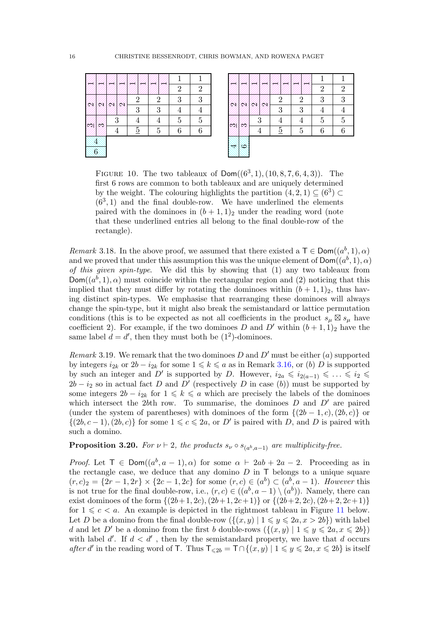|             |    |    |                |                | $\sqrt{2}$ | $\overline{2}$ |
|-------------|----|----|----------------|----------------|------------|----------------|
| ×           | ØX | Ø. | $\overline{2}$ | $\overline{2}$ | 3          | 3              |
|             |    |    | 3              | 3              |            |                |
| 52          | 3  |    | $\overline{4}$ | 4              | 5          | $\overline{5}$ |
|             |    |    | $\overline{5}$ | 5              | 6          | 6              |
| $\clubsuit$ |    |    |                |                |            |                |
| 6           |    |    |                |                |            |                |

|     |    |     |   |                |   | $\overline{2}$ | $\overline{2}$ |
|-----|----|-----|---|----------------|---|----------------|----------------|
| ØŚ  | Ø. | ØX. | ø | 2              | 2 | 3              | 3              |
|     |    |     |   | 3              | 3 | $\overline{4}$ | 4              |
| XI) | ØŹ | 3   |   | 4              | 4 | $\overline{5}$ | $\overline{5}$ |
|     |    | 4   |   | $\overline{5}$ | 5 | 6              | 6              |
|     | œ  |     |   |                |   |                |                |

FIGURE 10. The two tableaux of  $Dom((6^3,1),(10,8,7,6,4,3))$ . The first 6 rows are common to both tableaux and are uniquely determined by the weight. The colouring highlights the partition  $(4, 2, 1) \subseteq (6^3) \subset$  $(6^3, 1)$  and the final double-row. We have underlined the elements paired with the dominoes in  $(b + 1, 1)_2$  under the reading word (note that these underlined entries all belong to the final double-row of the rectangle).

Remark 3.18. In the above proof, we assumed that there existed a  $\mathsf{T} \in \mathsf{Dom}((a^b, 1), \alpha)$ and we proved that under this assumption this was the unique element of  $\mathsf{Dom}((a^b,1), \alpha)$ of this given spin-type. We did this by showing that (1) any two tableaux from  $Dom((a^b, 1), \alpha)$  must coincide within the rectangular region and (2) noticing that this implied that they must differ by rotating the dominoes within  $(b + 1, 1)_2$ , thus having distinct spin-types. We emphasise that rearranging these dominoes will always change the spin-type, but it might also break the semistandard or lattice permutation conditions (this is to be expected as not all coefficients in the product  $s_{\mu} \boxtimes s_{\mu}$  have coefficient 2). For example, if the two dominoes D and D' within  $(b+1,1)_2$  have the same label  $d = d'$ , then they must both be  $(1^2)$ -dominoes.

Remark 3.19. We remark that the two dominoes D and D' must be either (a) supported by integers  $i_{2k}$  or  $2b - i_{2k}$  for some  $1 \leq k \leq a$  as in Remark 3.16, or (b) D is supported by such an integer and D' is supported by D. However,  $i_{2a} \leqslant i_{2(a-1)} \leqslant \ldots \leqslant i_2 \leqslant$  $2b - i_2$  so in actual fact D and D' (respectively D in case (b)) must be supported by some integers  $2b - i_{2k}$  for  $1 \leq k \leq a$  which are precisely the labels of the dominoes which intersect the 2bth row. To summarise, the dominoes  $D$  and  $D'$  are paired (under the system of parentheses) with dominoes of the form  $\{(2b-1,c), (2b, c)\}\)$  $\{(2b, c-1), (2b, c)\}\$ for some  $1 \leqslant c \leqslant 2a$ , or D' is paired with D, and D is paired with such a domino.

**Proposition 3.20.** For  $\nu \vdash 2$ , the products  $s_{\nu} \circ s_{(a^b, a-1)}$  are multiplicity-free.

*Proof.* Let  $T \in Dom((a^b, a-1), \alpha)$  for some  $\alpha \vdash 2ab + 2a - 2$ . Proceeding as in the rectangle case, we deduce that any domino  $D$  in  $\mathsf T$  belongs to a unique square  $(r, c)_2 = \{2r - 1, 2r\} \times \{2c - 1, 2c\}$  for some  $(r, c) \in (a^b) \subset (a^b, a - 1)$ . However this is not true for the final double-row, i.e.,  $(r, c) \in ((a^b, a-1) \setminus (a^b))$ . Namely, there can exist dominoes of the form  $\{(2b+1, 2c), (2b+1, 2c+1)\}\$  or  $\{(2b+2, 2c), (2b+2, 2c+1)\}\$ for  $1 \leq c \leq a$ . An example is depicted in the rightmost tableau in Figure 11 below. Let D be a domino from the final double-row  $({(x, y) | 1 \leq y \leq 2a, x > 2b})$  with label d and let D' be a domino from the first b double-rows  $({(x, y) | 1 \leq y \leq 2a, x \leq 2b})$ with label  $d'$ . If  $d < d'$ , then by the semistandard property, we have that d occurs after d' in the reading word of T. Thus  $\mathsf{T}_{\leq 2b} = \mathsf{T} \cap \{(x, y) | 1 \leq y \leq 2a, x \leq 2b\}$  is itself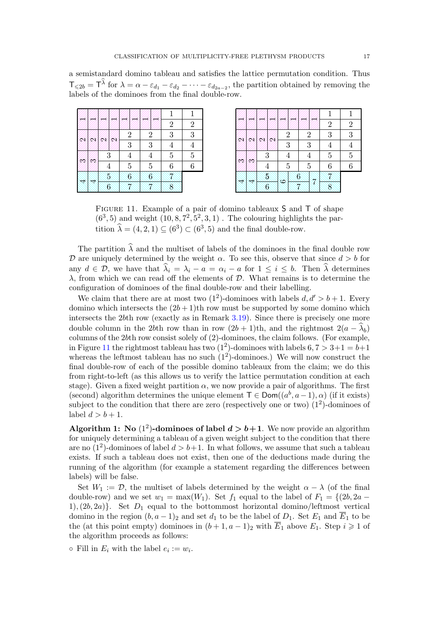a semistandard domino tableau and satisfies the lattice permutation condition. Thus  $\mathsf{T}_{\leqslant 2b} = \mathsf{T}^{\lambda}$  for  $\lambda = \alpha - \varepsilon_{d_1} - \varepsilon_{d_2} - \cdots - \varepsilon_{d_{2a-2}}$ , the partition obtained by removing the labels of the dominoes from the final double-row.

|     |     |    |                |                  |                | $\overline{2}$ | $\overline{2}$ |
|-----|-----|----|----------------|------------------|----------------|----------------|----------------|
| ØX. |     | 61 | ⋘              | $\overline{2}$   | $\overline{2}$ | 3              | 3              |
|     |     |    |                | 3                | 3              | 4              | 4              |
|     |     | 3  |                | 4                | 4              | 5              | $\overline{5}$ |
| Ø)  | 975 |    | 4              | $\overline{5}$   | $\overline{5}$ | 6              | 6              |
|     |     |    | 15.            | $\boldsymbol{6}$ | $\mathfrak{g}$ |                |                |
|     |     |    | $\overline{6}$ |                  |                | 8              |                |

|      |    |    |                  |                |                |                |                          | $\overline{2}$ | $\overline{2}$ |  |
|------|----|----|------------------|----------------|----------------|----------------|--------------------------|----------------|----------------|--|
| Ø9,  | 61 | Ø  | ØX.              | $\overline{2}$ |                | 2              |                          | 3              | 3              |  |
|      |    |    |                  | 3              |                | 3              |                          | £              | 4              |  |
|      |    | 3  |                  |                | 4              |                | 4                        | 5              | $\overline{5}$ |  |
| 99 S | ØB |    | 4                | 5              |                | $\overline{5}$ |                          | 6              | 6              |  |
|      |    | Ý, |                  | œ              | $\mathfrak{g}$ |                | $\overline{\mathcal{X}}$ |                |                |  |
| 44   |    |    | $\boldsymbol{6}$ |                |                |                |                          |                |                |  |

FIGURE 11. Example of a pair of domino tableaux S and T of shape  $(6^3, 5)$  and weight  $(10, 8, 7^2, 5^2, 3, 1)$ . The colouring highlights the partition  $\hat{\lambda} = (4, 2, 1) \subseteq (6^3) \subset (6^3, 5)$  and the final double-row.

The partition  $\hat{\lambda}$  and the multiset of labels of the dominoes in the final double row D are uniquely determined by the weight  $\alpha$ . To see this, observe that since  $d > b$  for any  $d \in \mathcal{D}$ , we have that  $\lambda_i = \lambda_i - a = \alpha_i - a$  for  $1 \leq i \leq b$ . Then  $\widehat{\lambda}$  determines  $\lambda$ , from which we can read off the elements of  $\mathcal{D}$ . What remains is to determine the configuration of dominoes of the final double-row and their labelling.

We claim that there are at most two  $(1^2)$ -dominoes with labels  $d, d' > b + 1$ . Every domino which intersects the  $(2b+1)$ th row must be supported by some domino which intersects the 2bth row (exactly as in Remark 3.19). Since there is precisely one more double column in the 2bth row than in row  $(2b+1)$ th, and the rightmost  $2(a - \lambda_b)$ columns of the 2bth row consist solely of (2)-dominoes, the claim follows. (For example, in Figure 11 the rightmost tableau has two  $(1^2)$ -dominoes with labels  $6, 7 > 3+1 = b+1$ whereas the leftmost tableau has no such  $(1^2)$ -dominoes.) We will now construct the final double-row of each of the possible domino tableaux from the claim; we do this from right-to-left (as this allows us to verify the lattice permutation condition at each stage). Given a fixed weight partition  $\alpha$ , we now provide a pair of algorithms. The first (second) algorithm determines the unique element  $\mathsf{T} \in \mathsf{Dom}((a^b, a-1), \alpha)$  (if it exists) subject to the condition that there are zero (respectively one or two)  $(1^2)$ -dominoes of label  $d > b + 1$ .

Algorithm 1: No (1<sup>2</sup>)-dominoes of label  $d > b+1$ . We now provide an algorithm for uniquely determining a tableau of a given weight subject to the condition that there are no  $(1^2)$ -dominoes of label  $d > b+1$ . In what follows, we assume that such a tableau exists. If such a tableau does not exist, then one of the deductions made during the running of the algorithm (for example a statement regarding the differences between labels) will be false.

Set  $W_1 := \mathcal{D}$ , the multiset of labels determined by the weight  $\alpha - \lambda$  (of the final double-row) and we set  $w_1 = \max(W_1)$ . Set  $f_1$  equal to the label of  $F_1 = \{(2b, 2a -$ 1),  $(2b, 2a)$ . Set  $D_1$  equal to the bottommost horizontal domino/leftmost vertical domino in the region  $(b, a-1)_2$  and set  $d_1$  to be the label of  $D_1$ . Set  $E_1$  and  $\overline{E}_1$  to be the (at this point empty) dominoes in  $(b+1, a-1)_2$  with  $\overline{E}_1$  above  $E_1$ . Step  $i \geq 1$  of the algorithm proceeds as follows:

 $\circ$  Fill in  $E_i$  with the label  $e_i := w_i$ .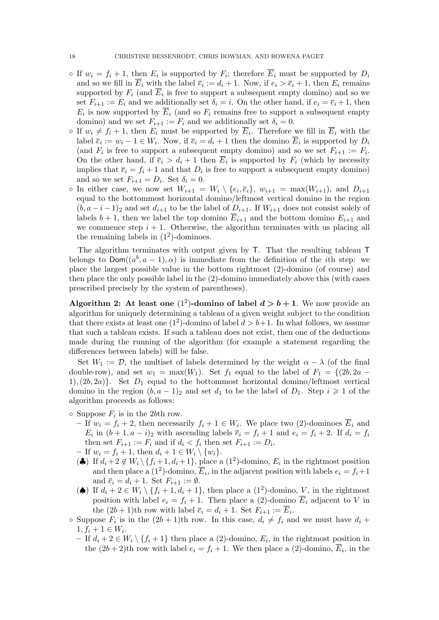- If  $w_i = f_i + 1$ , then  $E_i$  is supported by  $F_i$ ; therefore  $E_i$  must be supported by  $D_i$ and so we fill in  $E_i$  with the label  $\overline{e}_i := d_i + 1$ . Now, if  $e_i > \overline{e}_i + 1$ , then  $E_i$  remains supported by  $F_i$  (and  $E_i$  is free to support a subsequent empty domino) and so we set  $F_{i+1} := E_i$  and we additionally set  $\delta_i = i$ . On the other hand, if  $e_i = \overline{e}_i + 1$ , then  $E_i$  is now supported by  $E_i$  (and so  $F_i$  remains free to support a subsequent empty domino) and we set  $F_{i+1} := F_i$  and we additionally set  $\delta_i = 0$ .
- If  $w_i \neq f_i + 1$ , then  $E_i$  must be supported by  $E_i$ . Therefore we fill in  $E_i$  with the label  $\overline{e}_i := w_i - 1 \in W_i$ . Now, if  $\overline{e}_i = d_i + 1$  then the domino  $\overline{E}_i$  is supported by  $D_i$ (and  $F_i$  is free to support a subsequent empty domino) and so we set  $F_{i+1} := F_i$ . On the other hand, if  $\bar{e}_i > d_i + 1$  then  $E_i$  is supported by  $F_i$  (which by necessity implies that  $\overline{e}_i = f_i + 1$  and that  $D_i$  is free to support a subsequent empty domino) and so we set  $F_{i+1} = D_i$ . Set  $\delta_i = 0$ .
- In either case, we now set  $W_{i+1} = W_i \setminus \{e_i, \overline{e}_i\}, w_{i+1} = \max(W_{i+1}),$  and  $D_{i+1}$ equal to the bottommost horizontal domino/leftmost vertical domino in the region  $(b, a-i-1)_2$  and set  $d_{i+1}$  to be the label of  $D_{i+1}$ . If  $W_{i+1}$  does not consist solely of labels  $b + 1$ , then we label the top domino  $\overline{E}_{i+1}$  and the bottom domino  $E_{i+1}$  and we commence step  $i + 1$ . Otherwise, the algorithm terminates with us placing all the remaining labels in  $(1^2)$ -dominoes.

The algorithm terminates with output given by T. That the resulting tableau T belongs to  $\textsf{Dom}((a^b, a-1), \alpha)$  is immediate from the definition of the *i*th step: we place the largest possible value in the bottom rightmost (2)-domino (of course) and then place the only possible label in the (2)-domino immediately above this (with cases prescribed precisely by the system of parentheses).

Algorithm 2: At least one  $(1^2)$ -domino of label  $d > b + 1$ . We now provide an algorithm for uniquely determining a tableau of a given weight subject to the condition that there exists at least one  $(1^2)$ -domino of label  $d > b+1$ . In what follows, we assume that such a tableau exists. If such a tableau does not exist, then one of the deductions made during the running of the algorithm (for example a statement regarding the differences between labels) will be false.

Set  $W_1 := \mathcal{D}$ , the multiset of labels determined by the weight  $\alpha - \lambda$  (of the final double-row), and set  $w_1 = \max(W_1)$ . Set  $f_1$  equal to the label of  $F_1 = \{(2b, 2a -$ 1),  $(2b, 2a)$ . Set  $D_1$  equal to the bottommost horizontal domino/leftmost vertical domino in the region  $(b, a - 1)_2$  and set  $d_1$  to be the label of  $D_1$ . Step  $i \geq 1$  of the algorithm proceeds as follows:

 $\circ$  Suppose  $F_i$  is in the 2bth row.

- If  $w_i = f_i + 2$ , then necessarily  $f_i + 1 \in W_i$ . We place two (2)-dominoes  $\overline{E}_i$  and  $E_i$  in  $(b+1, a-i)_2$  with ascending labels  $\overline{e}_i = f_i + 1$  and  $e_i = f_i + 2$ . If  $d_i = f_i$ then set  $F_{i+1} := F_i$  and if  $d_i < f_i$  then set  $F_{i+1} := D_i$ .
- If  $w_i = f_i + 1$ , then  $d_i + 1 \in W_i \setminus \{w_i\}$ .
- ( $\clubsuit$ ) If  $d_i + 2 \not\in W_i \setminus \{f_i + 1, d_i + 1\}$ , place a (1<sup>2</sup>)-domino,  $E_i$  in the rightmost position and then place a (1<sup>2</sup>)-domino,  $\overline{E}_i$ , in the adjacent position with labels  $e_i = f_i + 1$ and  $\overline{e}_i = d_i + 1$ . Set  $F_{i+1} := \emptyset$ .
- ( $\spadesuit$ ) If  $d_i + 2 \in W_i \setminus \{f_i + 1, d_i + 1\}$ , then place a  $(1^2)$ -domino, V, in the rightmost position with label  $e_i = f_i + 1$ . Then place a (2)-domino  $\overline{E}_i$  adjacent to V in the  $(2b+1)$ th row with label  $\overline{e}_i = d_i + 1$ . Set  $F_{i+1} := E_i$ .
- Suppose  $F_i$  is in the  $(2b+1)$ th row. In this case,  $d_i \neq f_i$  and we must have  $d_i$  +  $1, f_i + 1 \in W_i.$ 
	- If  $d_i + 2 \in W_i \setminus \{f_i + 1\}$  then place a (2)-domino,  $E_i$ , in the rightmost position in the  $(2b+2)$ <sup>th</sup> row with label  $e_i = f_i + 1$ . We then place a  $(2)$ -domino,  $E_i$ , in the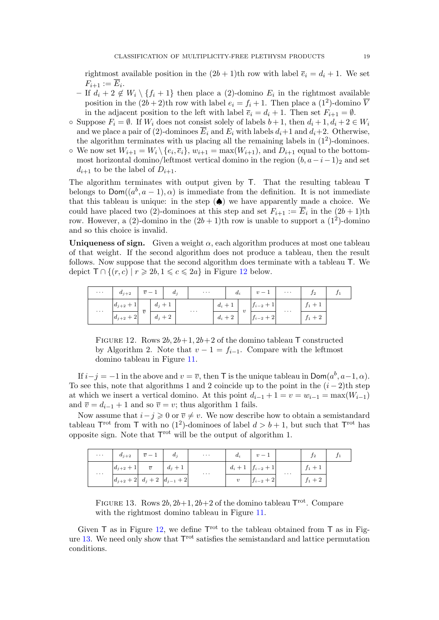rightmost available position in the  $(2b+1)$ th row with label  $\overline{e}_i = d_i + 1$ . We set  $F_{i+1} := E_i.$ 

- If  $d_i + 2 \notin W_i \setminus \{f_i + 1\}$  then place a (2)-domino  $E_i$  in the rightmost available position in the  $(2b+2)$ <sup>th</sup> row with label  $e_i = f_i + 1$ . Then place a  $(1^2)$ -domino  $\overline{V}$ in the adjacent position to the left with label  $\overline{e}_i = d_i + 1$ . Then set  $F_{i+1} = \emptyset$ .
- $\circ$  Suppose  $F_i = \emptyset$ . If  $W_i$  does not consist solely of labels  $b+1$ , then  $d_i+1, d_i+2 \in W_i$ and we place a pair of (2)-dominoes  $\overline{E}_i$  and  $E_i$  with labels  $d_i+1$  and  $d_i+2$ . Otherwise, the algorithm terminates with us placing all the remaining labels in  $(1^2)$ -dominoes.
- $\circ$  We now set  $W_{i+1} = W_i \setminus \{e_i, \overline{e}_i\}, w_{i+1} = \max(W_{i+1}),$  and  $D_{i+1}$  equal to the bottommost horizontal domino/leftmost vertical domino in the region  $(b, a-i-1)_2$  and set  $d_{i+1}$  to be the label of  $D_{i+1}$ .

The algorithm terminates with output given by T. That the resulting tableau T belongs to  $\textsf{Dom}((a^b, a-1), \alpha)$  is immediate from the definition. It is not immediate that this tableau is unique: in the step  $(\spadesuit)$  we have apparently made a choice. We could have placed two (2)-dominoes at this step and set  $F_{i+1} := E_i$  in the  $(2b+1)$ th row. However, a (2)-domino in the  $(2b+1)$ th row is unable to support a (1<sup>2</sup>)-domino and so this choice is invalid.

Uniqueness of sign. Given a weight  $\alpha$ , each algorithm produces at most one tableau of that weight. If the second algorithm does not produce a tableau, then the result follows. Now suppose that the second algorithm does terminate with a tableau T. We depict  $\mathsf{T} \cap \{(r,c) \mid r \geq 2b, 1 \leq c \leq 2a\}$  in Figure 12 below.

| $\cdots$             | $d_{j+2}$     | $\overline{n}$ — | -4        | $a_i$ |          | $\cdots$ |         | $d_i$            |         | $\boldsymbol{v}$<br>$\overline{\phantom{a}}$ | $\cdots$     | J <sup>2</sup>        |  |
|----------------------|---------------|------------------|-----------|-------|----------|----------|---------|------------------|---------|----------------------------------------------|--------------|-----------------------|--|
| $\sim$ $\sim$ $\sim$ | $d_{j+2}$     | $\overline{v}$   | $d_i + 1$ |       | $\cdots$ | $d_i +$  |         | $\boldsymbol{v}$ | $1 - 2$ | $\cdots$                                     | $\mathbf{r}$ |                       |  |
|                      | $ d_{j+2}+2 $ |                  | $d_j+2$   |       |          |          | $d_i+2$ |                  |         | $\sqrt{2}$<br>$J_{i-2}$<br>∠                 |              | $\Omega$<br>+ ∠<br>J1 |  |

FIGURE 12. Rows  $2b$ ,  $2b+1$ ,  $2b+2$  of the domino tableau T constructed by Algorithm 2. Note that  $v - 1 = f_{i-1}$ . Compare with the leftmost domino tableau in Figure 11.

If  $i-j = -1$  in the above and  $v = \overline{v}$ , then T is the unique tableau in  $\mathsf{Dom}(a^b, a-1, \alpha)$ . To see this, note that algorithms 1 and 2 coincide up to the point in the  $(i-2)$ th step at which we insert a vertical domino. At this point  $d_{i-1} + 1 = v = w_{i-1} = \max(W_{i-1})$ and  $\overline{v} = d_{i-1} + 1$  and so  $\overline{v} = v$ ; thus algorithm 1 fails.

Now assume that  $i-j \geq 0$  or  $\overline{v} \neq v$ . We now describe how to obtain a semistandard tableau  $\mathsf{T}^{\text{rot}}$  from  $\mathsf T$  with no (1<sup>2</sup>)-dominoes of label  $d > b + 1$ , but such that  $\mathsf{T}^{\text{rot}}$  has opposite sign. Note that  $T<sup>rot</sup>$  will be the output of algorithm 1.

| $\sim$ $\sim$ $\sim$ | $d_{j+2}$                           | $\overline{v}-1$ | $d_i$   | $\ldots$ . | $d_i$            | $v-1$                   |          | 12        |  |
|----------------------|-------------------------------------|------------------|---------|------------|------------------|-------------------------|----------|-----------|--|
| $\sim$ $\sim$ $\sim$ | $ d_{j+2}+1 $                       | $\overline{v}$   | $d_j+1$ | $\cdots$   |                  | $d_i + 1  f_{i-2} + 1 $ | $\cdots$ | $J_1 + 1$ |  |
|                      | $ d_{j+2}+2 $ $d_j+2$ $ d_{j-1}+2 $ |                  |         |            | $\boldsymbol{v}$ | $ f_{i-2}+2 $           |          | $f_1 + 2$ |  |

FIGURE 13. Rows  $2b$ ,  $2b+1$ ,  $2b+2$  of the domino tableau  $T^{rot}$ . Compare with the rightmost domino tableau in Figure 11.

Given  $\mathsf T$  as in Figure 12, we define  $\mathsf T^{rot}$  to the tableau obtained from  $\mathsf T$  as in Figure  $13$ . We need only show that  $T<sup>rot</sup>$  satisfies the semistandard and lattice permutation conditions.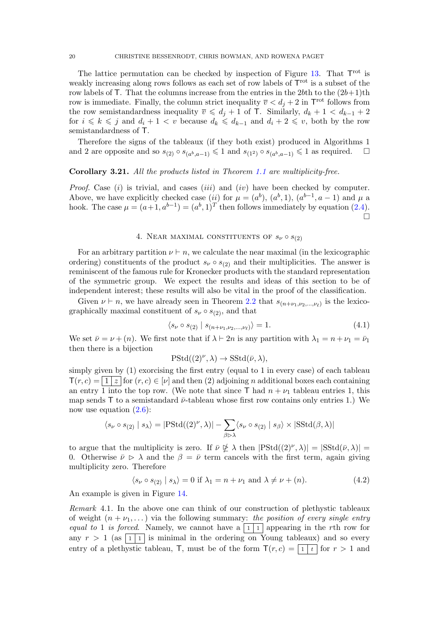The lattice permutation can be checked by inspection of Figure  $13$ . That  $T<sup>rot</sup>$  is weakly increasing along rows follows as each set of row labels of  $T<sup>rot</sup>$  is a subset of the row labels of T. That the columns increase from the entries in the 2bth to the  $(2b+1)$ th row is immediate. Finally, the column strict inequality  $\overline{v} < d_j + 2$  in T<sup>rot</sup> follows from the row semistandardness inequality  $\overline{v} \leq d_j + 1$  of  $\overline{T}$ . Similarly,  $d_k + 1 < d_{k-1} + 2$ for  $i \leq k \leq j$  and  $d_i + 1 < v$  because  $d_k \leq d_{k-1}$  and  $d_i + 2 \leq v$ , both by the row semistandardness of T.

Therefore the signs of the tableaux (if they both exist) produced in Algorithms 1 and 2 are opposite and so  $s_{(2)} \circ s_{(a^b, a-1)} \leq 1$  and  $s_{(1^2)} \circ s_{(a^b, a-1)} \leq 1$  as required.  $\square$ 

#### Corollary 3.21. All the products listed in Theorem 1.1 are multiplicity-free.

*Proof.* Case  $(i)$  is trivial, and cases  $(iii)$  and  $(iv)$  have been checked by computer. Above, we have explicitly checked case (ii) for  $\mu = (a^b)$ ,  $(a^b, 1)$ ,  $(a^{b-1}, a-1)$  and  $\mu$  a hook. The case  $\mu = (a+1, a^{b-1}) = (a^b, 1)^T$  then follows immediately by equation (2.4).  $\Box$ 

# 4. NEAR MAXIMAL CONSTITUENTS OF  $s_{\nu} \circ s_{(2)}$

For an arbitrary partition  $\nu \vdash n$ , we calculate the near maximal (in the lexicographic ordering) constituents of the product  $s_{\nu} \circ s_{(2)}$  and their multiplicities. The answer is reminiscent of the famous rule for Kronecker products with the standard representation of the symmetric group. We expect the results and ideas of this section to be of independent interest; these results will also be vital in the proof of the classification.

Given  $\nu \vdash n$ , we have already seen in Theorem 2.2 that  $s_{(n+\nu_1,\nu_2,...,\nu_\ell)}$  is the lexicographically maximal constituent of  $s_{\nu} \circ s_{(2)}$ , and that

$$
\langle s_{\nu} \circ s_{(2)} | s_{(n+\nu_1,\nu_2,\dots,\nu_\ell)} \rangle = 1.
$$
 (4.1)

We set  $\bar{\nu} = \nu + (n)$ . We first note that if  $\lambda \vdash 2n$  is any partition with  $\lambda_1 = n + \nu_1 = \bar{\nu}_1$ then there is a bijection

$$
\mathrm{PStd}((2)^{\nu}, \lambda) \to \mathrm{SStd}(\bar{\nu}, \lambda),
$$

simply given by (1) exorcising the first entry (equal to 1 in every case) of each tableau  $T(r, c) = \begin{pmatrix} 1 & z \end{pmatrix}$  for  $(r, c) \in [\nu]$  and then (2) adjoining n additional boxes each containing an entry  $\overline{1}$  into the top row. (We note that since  $\overline{1}$  had  $n + \nu_1$  tableau entries 1, this map sends T to a semistandard  $\bar{\nu}$ -tableau whose first row contains only entries 1.) We now use equation  $(2.6)$ :

$$
\langle s_{\nu} \circ s_{(2)} | s_{\lambda} \rangle = | \mathrm{PStd}((2)^{\nu}, \lambda)| - \sum_{\beta \triangleright \lambda} \langle s_{\nu} \circ s_{(2)} | s_{\beta} \rangle \times | \mathrm{SStd}(\beta, \lambda)|
$$

to argue that the multiplicity is zero. If  $\bar{\nu} \not\subseteq \lambda$  then  $|PStd((2)^{\nu}, \lambda)| = |SStd(\bar{\nu}, \lambda)|$ 0. Otherwise  $\bar{\nu} \ge \lambda$  and the  $\beta = \bar{\nu}$  term cancels with the first term, again giving multiplicity zero. Therefore

$$
\langle s_{\nu} \circ s_{(2)} | s_{\lambda} \rangle = 0 \text{ if } \lambda_1 = n + \nu_1 \text{ and } \lambda \neq \nu + (n). \tag{4.2}
$$

An example is given in Figure 14.

Remark 4.1. In the above one can think of our construction of plethystic tableaux of weight  $(n + \nu_1, \dots)$  via the following summary: the position of every single entry equal to 1 is forced. Namely, we cannot have a  $\boxed{1\,1}$  appearing in the rth row for any  $r > 1$  (as  $\boxed{1 \mid 1}$  is minimal in the ordering on Young tableaux) and so every entry of a plethystic tableau, T, must be of the form  $T(r, c) = \lceil 1 + r \rceil$  for  $r > 1$  and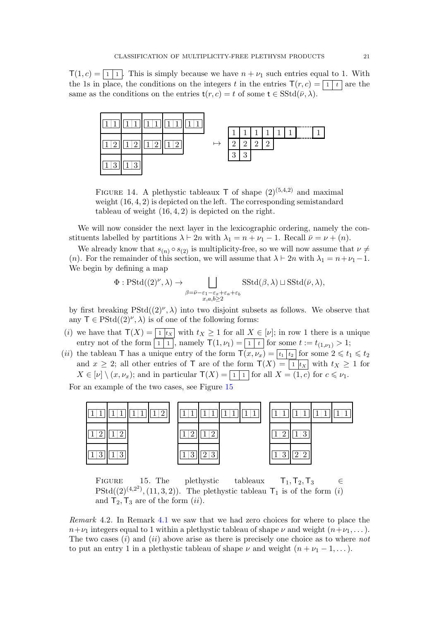$T(1, c) = |1| 1$ . This is simply because we have  $n + \nu_1$  such entries equal to 1. With the 1s in place, the conditions on the integers t in the entries  $T(r, c) = \boxed{1}{t}$  are the same as the conditions on the entries  $t(r, c) = t$  of some  $t \in SStd(\bar{\nu}, \lambda)$ .



FIGURE 14. A plethystic tableaux  $\mathsf T$  of shape  $(2)^{(5,4,2)}$  and maximal weight  $(16, 4, 2)$  is depicted on the left. The corresponding semistandard tableau of weight  $(16, 4, 2)$  is depicted on the right.

We will now consider the next layer in the lexicographic ordering, namely the constituents labelled by partitions  $\lambda \vdash 2n$  with  $\lambda_1 = n + \nu_1 - 1$ . Recall  $\bar{\nu} = \nu + (n)$ .

We already know that  $s_{(n)} \circ s_{(2)}$  is multiplicity-free, so we will now assume that  $\nu \neq$ (n). For the remainder of this section, we will assume that  $\lambda \vdash 2n$  with  $\lambda_1 = n + \nu_1 - 1$ . We begin by defining a map

$$
\Phi: \mathrm{PStd}((2)^{\nu}, \lambda) \to \bigsqcup_{\substack{\beta = \bar{\nu} - \varepsilon_1 - \varepsilon_x + \varepsilon_a + \varepsilon_b \\ x, a, b \ge 2}} \mathrm{SStd}(\beta, \lambda) \sqcup \mathrm{SStd}(\bar{\nu}, \lambda),
$$

by first breaking  $PStd((2)^{\nu}, \lambda)$  into two disjoint subsets as follows. We observe that any  $\mathsf{T} \in \mathrm{PStd}((2)^{\nu}, \lambda)$  is of one of the following forms:

- (i) we have that  $\mathsf{T}(X) = \lceil \frac{1}{x} \rceil$  with  $t_X \geq 1$  for all  $X \in [\nu]$ ; in row 1 there is a unique entry not of the form  $\boxed{1 \mid 1}$ , namely  $\mathsf{T}(1, \nu_1) = \boxed{1 \mid t}$  for some  $t := t_{(1, \nu_1)} > 1$ ;
- (ii) the tableau T has a unique entry of the form  $T(x, \nu_x) = \lceil t_1 \rceil t_2 \rceil$  for some  $2 \leq t_1 \leq t_2$ and  $x \geq 2$ ; all other entries of T are of the form  $T(X) = \lceil 1 | t_X \rceil$  with  $t_X \geq 1$  for  $X \in [\nu] \setminus (x, \nu_x)$ ; and in particular  $\mathsf{T}(X) = \boxed{1 \mid 1}$  for all  $X = (1, c)$  for  $c \leq \nu_1$ .

For an example of the two cases, see Figure 15



FIGURE 15. The plethystic tableaux  $T_1, T_2, T_3 \in$  $PStd((2)^{(4,2^2)}, (11, 3, 2)).$  The plethystic tableau  $T_1$  is of the form  $(i)$ and  $T_2, T_3$  are of the form  $(ii)$ .

Remark 4.2. In Remark 4.1 we saw that we had zero choices for where to place the  $n+\nu_1$  integers equal to 1 within a plethystic tableau of shape  $\nu$  and weight  $(n+\nu_1, \dots)$ . The two cases  $(i)$  and  $(ii)$  above arise as there is precisely one choice as to where not to put an entry 1 in a plethystic tableau of shape  $\nu$  and weight  $(n + \nu_1 - 1, \dots)$ .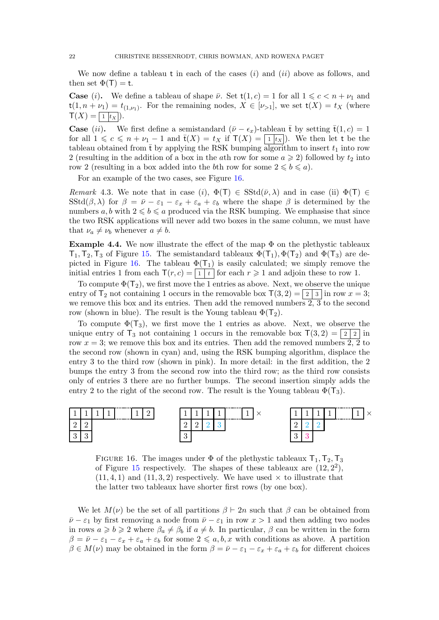We now define a tableau t in each of the cases  $(i)$  and  $(ii)$  above as follows, and then set  $\Phi(\mathsf{T}) = \mathsf{t}$ .

**Case** (i). We define a tableau of shape  $\bar{\nu}$ . Set  $t(1, c) = 1$  for all  $1 \leq c \leq n + \nu_1$  and  $\mathsf{t}(1,n+\nu_1)=t_{(1,\nu_1)}$ . For the remaining nodes,  $X\in[\nu_{>1}]$ , we set  $\mathsf{t}(X)=t_X$  (where  $\mathsf{T}(X) = \boxed{1 | t_X |}.$ 

**Case** (ii). We first define a semistandard  $(\bar{\nu} - \epsilon_x)$ -tableau  $\bar{t}$  by setting  $\bar{t}(1, c) = 1$ for all  $1 \leq c \leq n + \nu_1 - 1$  and  $\bar{t}(X) = t_X$  if  $\mathsf{T}(X) = |1|t_X|$ . We then let t be the tableau obtained from  $\bar{t}$  by applying the RSK bumping algorithm to insert  $t_1$  into row 2 (resulting in the addition of a box in the ath row for some  $a \ge 2$ ) followed by  $t_2$  into row 2 (resulting in a box added into the bth row for some  $2 \leq b \leq a$ ).

For an example of the two cases, see Figure 16.

Remark 4.3. We note that in case (i),  $\Phi(T) \in \text{SStd}(\bar{\nu}, \lambda)$  and in case (ii)  $\Phi(T) \in$ SStd( $\beta$ ,  $\lambda$ ) for  $\beta = \bar{\nu} - \varepsilon_1 - \varepsilon_x + \varepsilon_a + \varepsilon_b$  where the shape  $\beta$  is determined by the numbers  $a, b$  with  $2 \leq b \leq a$  produced via the RSK bumping. We emphasise that since the two RSK applications will never add two boxes in the same column, we must have that  $\nu_a \neq \nu_b$  whenever  $a \neq b$ .

**Example 4.4.** We now illustrate the effect of the map  $\Phi$  on the plethystic tableaux  $T_1, T_2, T_3$  of Figure 15. The semistandard tableaux  $\Phi(T_1), \Phi(T_2)$  and  $\Phi(T_3)$  are depicted in Figure 16. The tableau  $\Phi(T_1)$  is easily calculated; we simply remove the initial entries 1 from each  $\mathsf{T}(r,c) = \lceil 1 \rceil t \rceil$  for each  $r \geq 1$  and adjoin these to row 1.

To compute  $\Phi(T_2)$ , we first move the 1 entries as above. Next, we observe the unique entry of  $T_2$  not containing 1 occurs in the removable box  $T(3, 2) = \boxed{2 \mid 3}$  in row  $x = 3$ ; we remove this box and its entries. Then add the removed numbers  $2, 3$  to the second row (shown in blue). The result is the Young tableau  $\Phi(T_2)$ .

To compute  $\Phi(T_3)$ , we first move the 1 entries as above. Next, we observe the unique entry of  $T_3$  not containing 1 occurs in the removable box  $T(3, 2) = \boxed{2 \mid 2}$  in row  $x = 3$ ; we remove this box and its entries. Then add the removed numbers 2, 2 to the second row (shown in cyan) and, using the RSK bumping algorithm, displace the entry 3 to the third row (shown in pink). In more detail: in the first addition, the 2 bumps the entry 3 from the second row into the third row; as the third row consists only of entries 3 there are no further bumps. The second insertion simply adds the entry 2 to the right of the second row. The result is the Young tableau  $\Phi(T_3)$ .



FIGURE 16. The images under  $\Phi$  of the plethystic tableaux  $T_1, T_2, T_3$ of Figure 15 respectively. The shapes of these tableaux are  $(12, 2^2)$ ,  $(11, 4, 1)$  and  $(11, 3, 2)$  respectively. We have used  $\times$  to illustrate that the latter two tableaux have shorter first rows (by one box).

We let  $M(\nu)$  be the set of all partitions  $\beta \vdash 2n$  such that  $\beta$  can be obtained from  $\bar{\nu} - \varepsilon_1$  by first removing a node from  $\bar{\nu} - \varepsilon_1$  in row  $x > 1$  and then adding two nodes in rows  $a \geq b \geq 2$  where  $\beta_a \neq \beta_b$  if  $a \neq b$ . In particular,  $\beta$  can be written in the form  $\beta = \bar{\nu} - \varepsilon_1 - \varepsilon_x + \varepsilon_a + \varepsilon_b$  for some  $2 \leq a, b, x$  with conditions as above. A partition  $\beta \in M(\nu)$  may be obtained in the form  $\beta = \bar{\nu} - \varepsilon_1 - \varepsilon_x + \varepsilon_a + \varepsilon_b$  for different choices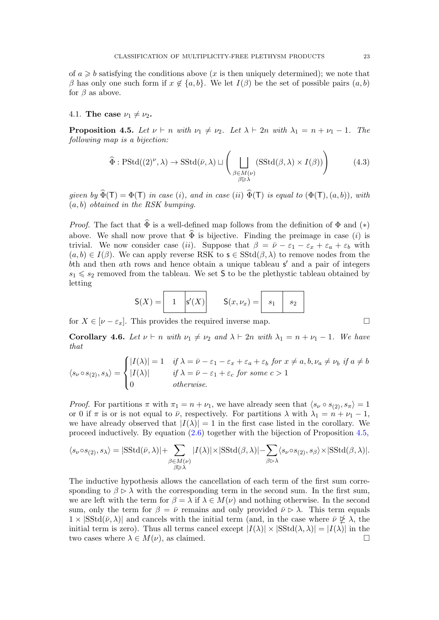of  $a \geq b$  satisfying the conditions above (x is then uniquely determined); we note that β has only one such form if  $x \notin \{a, b\}$ . We let  $I(\beta)$  be the set of possible pairs  $(a, b)$ for  $\beta$  as above.

#### 4.1. The case  $\nu_1 \neq \nu_2$ .

**Proposition 4.5.** Let  $\nu \vdash n$  with  $\nu_1 \neq \nu_2$ . Let  $\lambda \vdash 2n$  with  $\lambda_1 = n + \nu_1 - 1$ . The following map is a bijection:

$$
\widehat{\Phi}: \mathrm{PStd}((2)^{\nu}, \lambda) \to \mathrm{SStd}(\bar{\nu}, \lambda) \sqcup \left( \bigcup_{\substack{\beta \in M(\nu) \\ \beta \triangleright \lambda}} (\mathrm{SStd}(\beta, \lambda) \times I(\beta)) \right) \tag{4.3}
$$

given by  $\widehat{\Phi}(\mathsf{T}) = \Phi(\mathsf{T})$  in case (i), and in case (ii)  $\widehat{\Phi}(\mathsf{T})$  is equal to  $(\Phi(\mathsf{T}), (a, b))$ , with  $(a, b)$  obtained in the RSK bumping.

*Proof.* The fact that  $\widehat{\Phi}$  is a well-defined map follows from the definition of  $\Phi$  and  $(*)$ above. We shall now prove that  $\hat{\Phi}$  is bijective. Finding the preimage in case (*i*) is trivial. We now consider case (ii). Suppose that  $\beta = \bar{\nu} - \varepsilon_1 - \varepsilon_x + \varepsilon_a + \varepsilon_b$  with  $(a, b) \in I(\beta)$ . We can apply reverse RSK to  $s \in SStd(\beta, \lambda)$  to remove nodes from the bth and then ath rows and hence obtain a unique tableau  $s'$  and a pair of integers  $s_1 \leqslant s_2$  removed from the tableau. We set S to be the plethystic tableau obtained by letting

$$
\mathsf{S}(X) = \begin{bmatrix} 1 & |s'(X)| \\ 1 & |s'(X)| \end{bmatrix} \qquad \mathsf{S}(x, \nu_x) = \begin{bmatrix} s_1 & s_2 \\ s_3 & s_4 \end{bmatrix}
$$

for  $X \in [\nu - \varepsilon_x]$ . This provides the required inverse map.

Corollary 4.6. Let  $\nu \vdash n$  with  $\nu_1 \neq \nu_2$  and  $\lambda \vdash 2n$  with  $\lambda_1 = n + \nu_1 - 1$ . We have that

$$
\langle s_{\nu} \circ s_{(2)}, s_{\lambda} \rangle = \begin{cases} |I(\lambda)| = 1 & \text{if } \lambda = \bar{\nu} - \varepsilon_1 - \varepsilon_x + \varepsilon_a + \varepsilon_b \text{ for } x \neq a, b, \nu_a \neq \nu_b \text{ if } a \neq b \\ |I(\lambda)| & \text{if } \lambda = \bar{\nu} - \varepsilon_1 + \varepsilon_c \text{ for some } c > 1 \\ 0 & \text{otherwise.} \end{cases}
$$

*Proof.* For partitions  $\pi$  with  $\pi_1 = n + \nu_1$ , we have already seen that  $\langle s_{\nu} \circ s_{(2)}, s_{\pi} \rangle = 1$ or 0 if  $\pi$  is or is not equal to  $\bar{\nu}$ , respectively. For partitions  $\lambda$  with  $\lambda_1 = n + \nu_1 - 1$ , we have already observed that  $|I(\lambda)| = 1$  in the first case listed in the corollary. We proceed inductively. By equation (2.6) together with the bijection of Proposition 4.5,

$$
\langle s_{\nu} \circ s_{(2)}, s_{\lambda} \rangle = |{\rm SStd}(\bar{\nu}, \lambda)| + \sum_{\substack{\beta \in M(\nu) \\ \beta \triangleright \lambda}} |I(\lambda)| \times |{\rm SStd}(\beta, \lambda)| - \sum_{\beta \triangleright \lambda} \langle s_{\nu} \circ s_{(2)}, s_{\beta} \rangle \times |{\rm SStd}(\beta, \lambda)|.
$$

The inductive hypothesis allows the cancellation of each term of the first sum corresponding to  $\beta \triangleright \lambda$  with the corresponding term in the second sum. In the first sum, we are left with the term for  $\beta = \lambda$  if  $\lambda \in M(\nu)$  and nothing otherwise. In the second sum, only the term for  $\beta = \bar{\nu}$  remains and only provided  $\bar{\nu} \triangleright \lambda$ . This term equals  $1 \times |\text{SStd}(\bar{\nu}, \lambda)|$  and cancels with the initial term (and, in the case where  $\bar{\nu} \not\subseteq \lambda$ , the initial term is zero). Thus all terms cancel except  $|I(\lambda)| \times |SStd(\lambda, \lambda)| = |I(\lambda)|$  in the two cases where  $\lambda \in M(\nu)$ , as claimed.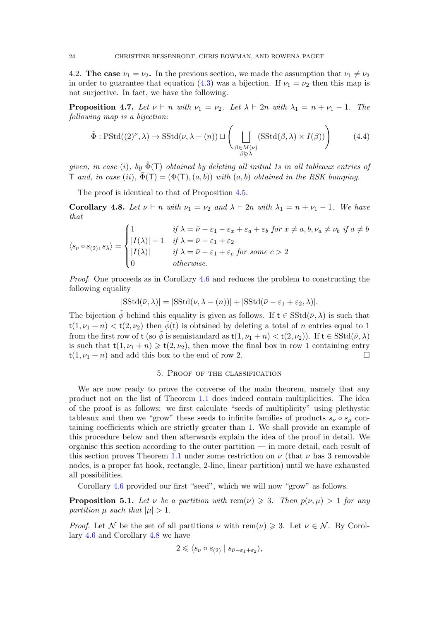4.2. The case  $\nu_1 = \nu_2$ . In the previous section, we made the assumption that  $\nu_1 \neq \nu_2$ in order to guarantee that equation (4.3) was a bijection. If  $\nu_1 = \nu_2$  then this map is not surjective. In fact, we have the following.

**Proposition 4.7.** Let  $\nu \vdash n$  with  $\nu_1 = \nu_2$ . Let  $\lambda \vdash 2n$  with  $\lambda_1 = n + \nu_1 - 1$ . The following map is a bijection:

$$
\tilde{\Phi}: \mathrm{PStd}((2)^{\nu}, \lambda) \to \mathrm{SStd}(\nu, \lambda - (n)) \sqcup \left( \bigsqcup_{\substack{\beta \in M(\nu) \\ \beta \triangleright \lambda}} (\mathrm{SStd}(\beta, \lambda) \times I(\beta)) \right) \tag{4.4}
$$

given, in case (i), by  $\tilde{\Phi}(\mathsf{T})$  obtained by deleting all initial 1s in all tableaux entries of T and, in case (ii),  $\tilde{\Phi}(\mathsf{T}) = (\Phi(\mathsf{T}), (a, b))$  with  $(a, b)$  obtained in the RSK bumping.

The proof is identical to that of Proposition 4.5.

Corollary 4.8. Let  $\nu \vdash n$  with  $\nu_1 = \nu_2$  and  $\lambda \vdash 2n$  with  $\lambda_1 = n + \nu_1 - 1$ . We have that

$$
\langle s_{\nu} \circ s_{(2)}, s_{\lambda} \rangle = \begin{cases} 1 & \text{if } \lambda = \bar{\nu} - \varepsilon_1 - \varepsilon_x + \varepsilon_a + \varepsilon_b \text{ for } x \neq a, b, \nu_a \neq \nu_b \text{ if } a \neq b \\ |I(\lambda)| - 1 & \text{if } \lambda = \bar{\nu} - \varepsilon_1 + \varepsilon_2 \\ |I(\lambda)| & \text{if } \lambda = \bar{\nu} - \varepsilon_1 + \varepsilon_c \text{ for some } c > 2 \\ 0 & \text{otherwise.} \end{cases}
$$

Proof. One proceeds as in Corollary 4.6 and reduces the problem to constructing the following equality

$$
|{\rm SStd}(\bar{\nu}, \lambda)| = |{\rm SStd}(\nu, \lambda - (n))| + |{\rm SStd}(\bar{\nu} - \varepsilon_1 + \varepsilon_2, \lambda)|.
$$

The bijection  $\phi$  behind this equality is given as follows. If  $t \in SStd(\bar{\nu}, \lambda)$  is such that  $t(1, \nu_1 + n) < t(2, \nu_2)$  then  $\tilde{\phi}(t)$  is obtained by deleting a total of n entries equal to 1 from the first row of t (so  $\tilde{\phi}$  is semistandard as  $t(1, \nu_1 + n) < t(2, \nu_2)$ ). If  $t \in SStd(\bar{\nu}, \lambda)$ is such that  $t(1, \nu_1 + n) \geq t(2, \nu_2)$ , then move the final box in row 1 containing entry  $t(1, \nu_1 + n)$  and add this box to the end of row 2.

#### 5. Proof of the classification

We are now ready to prove the converse of the main theorem, namely that any product not on the list of Theorem 1.1 does indeed contain multiplicities. The idea of the proof is as follows: we first calculate "seeds of multiplicity" using plethystic tableaux and then we "grow" these seeds to infinite families of products  $s_{\nu} \circ s_{\mu}$  containing coefficients which are strictly greater than 1. We shall provide an example of this procedure below and then afterwards explain the idea of the proof in detail. We organise this section according to the outer partition — in more detail, each result of this section proves Theorem 1.1 under some restriction on  $\nu$  (that  $\nu$  has 3 removable nodes, is a proper fat hook, rectangle, 2-line, linear partition) until we have exhausted all possibilities.

Corollary 4.6 provided our first "seed", which we will now "grow" as follows.

**Proposition 5.1.** Let v be a partition with rem(v)  $\geq 3$ . Then  $p(\nu,\mu) > 1$  for any partition  $\mu$  such that  $|\mu| > 1$ .

*Proof.* Let N be the set of all partitions  $\nu$  with rem( $\nu$ )  $\geqslant$  3. Let  $\nu \in \mathcal{N}$ . By Corollary 4.6 and Corollary 4.8 we have

$$
2 \leqslant \langle s_{\nu} \circ s_{(2)} \mid s_{\bar{\nu}-\varepsilon_1+\varepsilon_2} \rangle,
$$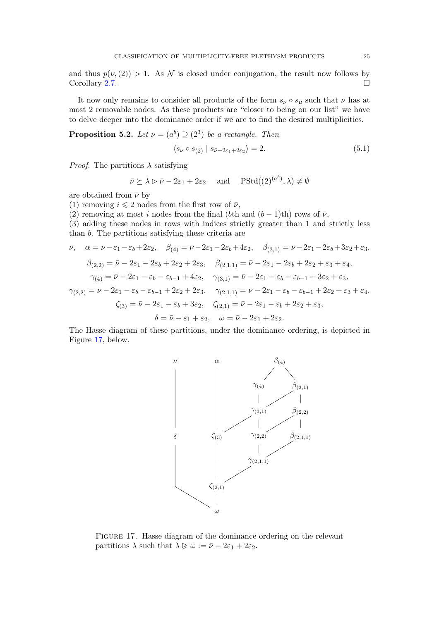and thus  $p(\nu,(2)) > 1$ . As N is closed under conjugation, the result now follows by Corollary 2.7.

It now only remains to consider all products of the form  $s_{\nu} \circ s_{\mu}$  such that  $\nu$  has at most 2 removable nodes. As these products are "closer to being on our list" we have to delve deeper into the dominance order if we are to find the desired multiplicities.

**Proposition 5.2.** Let  $\nu = (a^b) \supseteq (2^3)$  be a rectangle. Then

$$
\langle s_{\nu} \circ s_{(2)} | s_{\bar{\nu}-2\varepsilon_1+2\varepsilon_2} \rangle = 2. \tag{5.1}
$$

*Proof.* The partitions  $\lambda$  satisfying

$$
\bar{\nu} \succeq \lambda \rhd \bar{\nu} - 2\varepsilon_1 + 2\varepsilon_2
$$
 and  $\text{PStd}((2)^{(a^b)}, \lambda) \neq \emptyset$ 

are obtained from  $\bar{\nu}$  by

(1) removing  $i \leq 2$  nodes from the first row of  $\bar{\nu}$ ,

(2) removing at most i nodes from the final (bth and  $(b-1)$ th) rows of  $\bar{\nu}$ ,

(3) adding these nodes in rows with indices strictly greater than 1 and strictly less than b. The partitions satisfying these criteria are

$$
\bar{\nu}, \quad \alpha = \bar{\nu} - \varepsilon_1 - \varepsilon_b + 2\varepsilon_2, \quad \beta_{(4)} = \bar{\nu} - 2\varepsilon_1 - 2\varepsilon_b + 4\varepsilon_2, \quad \beta_{(3,1)} = \bar{\nu} - 2\varepsilon_1 - 2\varepsilon_b + 3\varepsilon_2 + \varepsilon_3, \n\beta_{(2,2)} = \bar{\nu} - 2\varepsilon_1 - 2\varepsilon_b + 2\varepsilon_2 + 2\varepsilon_3, \quad \beta_{(2,1,1)} = \bar{\nu} - 2\varepsilon_1 - 2\varepsilon_b + 2\varepsilon_2 + \varepsilon_3 + \varepsilon_4, \n\gamma_{(4)} = \bar{\nu} - 2\varepsilon_1 - \varepsilon_b - \varepsilon_{b-1} + 4\varepsilon_2, \quad \gamma_{(3,1)} = \bar{\nu} - 2\varepsilon_1 - \varepsilon_b - \varepsilon_{b-1} + 3\varepsilon_2 + \varepsilon_3, \n\gamma_{(2,2)} = \bar{\nu} - 2\varepsilon_1 - \varepsilon_b - \varepsilon_{b-1} + 2\varepsilon_2 + 2\varepsilon_3, \quad \gamma_{(2,1,1)} = \bar{\nu} - 2\varepsilon_1 - \varepsilon_b - \varepsilon_{b-1} + 2\varepsilon_2 + \varepsilon_3 + \varepsilon_4, \n\zeta_{(3)} = \bar{\nu} - 2\varepsilon_1 - \varepsilon_b + 3\varepsilon_2, \quad \zeta_{(2,1)} = \bar{\nu} - 2\varepsilon_1 - \varepsilon_b + 2\varepsilon_2 + \varepsilon_3, \n\delta = \bar{\nu} - \varepsilon_1 + \varepsilon_2, \quad \omega = \bar{\nu} - 2\varepsilon_1 + 2\varepsilon_2.
$$

The Hasse diagram of these partitions, under the dominance ordering, is depicted in Figure 17, below.



FIGURE 17. Hasse diagram of the dominance ordering on the relevant partitions  $\lambda$  such that  $\lambda \geqslant \omega := \bar{\nu} - 2\varepsilon_1 + 2\varepsilon_2$ .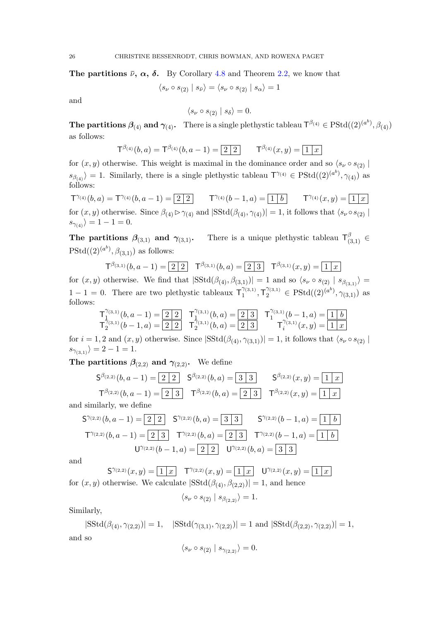**The partitions**  $\bar{\nu}$ ,  $\alpha$ ,  $\delta$ . By Corollary 4.8 and Theorem 2.2, we know that

$$
\langle s_\nu \circ s_{(2)} \mid s_{\bar{\nu}} \rangle = \langle s_\nu \circ s_{(2)} \mid s_\alpha \rangle = 1
$$

and

$$
\langle s_{\nu} \circ s_{(2)} | s_{\delta} \rangle = 0.
$$

The partitions  $\beta_{(4)}$  and  $\gamma_{(4)}$ . There is a single plethystic tableau  $\mathsf{T}^{\beta_{(4)}} \in \mathrm{PStd}((2)^{(a^b)}, \beta_{(4)})$ as follows:

$$
T^{\beta_{(4)}}(b,a) = T^{\beta_{(4)}}(b,a-1) = \boxed{2 \mid 2} \qquad T^{\beta_{(4)}}(x,y) = \boxed{1 \mid x}
$$

for  $(x, y)$  otherwise. This weight is maximal in the dominance order and so  $\langle s_{\nu} \circ s_{(2)} |$  $s_{\beta(q)}$  = 1. Similarly, there is a single plethystic tableau  $\mathsf{T}^{\gamma(q)} \in \mathrm{PStd}((2)^{(a^b)}, \gamma_{(4)})$  as follows:

 $\mathsf{T}^{\gamma_{(4)}}(b,a) = \mathsf{T}^{\gamma_{(4)}}(b,a-1) = 2 \ 2 \ 1$   $\mathsf{T}^{\gamma_{(4)}}(b-1,a) = 1 \ 1 \ 1 \ 0$   $\mathsf{T}^{\gamma_{(4)}}(x,y) = 1 \ 1 \ 1 \ 0$ for  $(x, y)$  otherwise. Since  $\beta_{(4)} \triangleright \gamma_{(4)}$  and  $|SStd(\beta_{(4)}, \gamma_{(4)})| = 1$ , it follows that  $\langle s_{\nu} \circ s_{(2)} |$  $s_{\gamma_{(4)}}$  $= 1 - 1 = 0.$ 

The partitions  $\beta_{(3,1)}$  and  $\gamma_{(3,1)}$ . There is a unique plethystic tableau  $\mathsf{T}^\beta_{(3,1)}$   $\in$  $PStd((2)^{(a^b)}, \beta_{(3,1)})$  as follows:

$$
\mathsf{T}^{\beta_{(3,1)}}(b,a-1) = \boxed{2 \mid 2} \quad \mathsf{T}^{\beta_{(3,1)}}(b,a) = \boxed{2 \mid 3} \quad \mathsf{T}^{\beta_{(3,1)}}(x,y) = \boxed{1 \mid x}
$$

for  $(x, y)$  otherwise. We find that  $|SStd(\beta_{(4)}, \beta_{(3,1)})| = 1$  and so  $\langle s_\nu \circ s_{(2)} | s_{\beta_{(3,1)}} \rangle =$  $1-1=0$ . There are two plethystic tableaux  $T_1^{\gamma_{(3,1)}}$  $T_1^{\gamma_{(3,1)}}, T_2^{\gamma_{(3,1)}} \in \text{PStd}((2)^{(a^b)}, \gamma_{(3,1)})$  as follows:

$$
\mathsf{T}_1^{\gamma_{(3,1)}}(b,a-1) = \begin{array}{|c|c|c|c|c|} \hline 2 & 2 & \mathsf{T}_1^{\gamma_{(3,1)}}(b,a) = \begin{array}{|c|c|c|} \hline 2 & 3 & \mathsf{T}_1^{\gamma_{(3,1)}}(b-1,a) = \boxed{1 \mid b} \\ \hline \mathsf{T}_2^{\gamma_{(3,1)}}(b-1,a) = \boxed{2 \mid 2} & \mathsf{T}_2^{\gamma_{(3,1)}}(b,a) = \boxed{2 \mid 3} & \mathsf{T}_i^{\gamma_{(3,1)}}(x,y) = \boxed{1 \mid x} \end{array}
$$

for  $i = 1, 2$  and  $(x, y)$  otherwise. Since  $|SStd(\beta_{(4)}, \gamma_{(3,1)})| = 1$ , it follows that  $\langle s_{\nu} \circ s_{(2)} |$  $s_{\gamma_{(3,1)}} = 2 - 1 = 1.$ 

The partitions  $\beta_{(2,2)}$  and  $\gamma_{(2,2)}$ . We define

$$
\mathsf{S}^{\beta_{(2,2)}}(b,a-1) = \boxed{2 \ 2} \quad \mathsf{S}^{\beta_{(2,2)}}(b,a) = \boxed{3 \ 3} \quad \mathsf{S}^{\beta_{(2,2)}}(x,y) = \boxed{1 \ x}
$$
\n
$$
\mathsf{T}^{\beta_{(2,2)}}(b,a-1) = \boxed{2 \ 3} \quad \mathsf{T}^{\beta_{(2,2)}}(b,a) = \boxed{2 \ 3} \quad \mathsf{T}^{\beta_{(2,2)}}(x,y) = \boxed{1 \ x}
$$

and similarly, we define

$$
S^{\gamma_{(2,2)}}(b, a-1) = \boxed{2 \ 2} \quad S^{\gamma_{(2,2)}}(b, a) = \boxed{3 \ 3} \quad S^{\gamma_{(2,2)}}(b-1, a) = \boxed{1 \ 6}
$$

$$
T^{\gamma_{(2,2)}}(b, a-1) = \boxed{2 \ 3} \quad T^{\gamma_{(2,2)}}(b, a) = \boxed{2 \ 3} \quad T^{\gamma_{(2,2)}}(b-1, a) = \boxed{1 \ 6}
$$

$$
U^{\gamma_{(2,2)}}(b-1, a) = \boxed{2 \ 2} \quad U^{\gamma_{(2,2)}}(b, a) = \boxed{3 \ 3}
$$

and

 $S^{\gamma_{(2,2)}}(x,y) = \boxed{1|x}$   $T^{\gamma_{(2,2)}}(x,y) = \boxed{1|x}$   $U^{\gamma_{(2,2)}}(x,y) = \boxed{1|x}$ for  $(x, y)$  otherwise. We calculate  $|SStd(\beta_{(4)}, \beta_{(2,2)})|=1$ , and hence

 $\langle s_{\nu} \circ s_{(2)} | s_{\beta_{(2,2)}} \rangle = 1.$ 

Similarly,

 $|SStd(\beta_{(4)}, \gamma_{(2,2)})| = 1, |SStd(\gamma_{(3,1)}, \gamma_{(2,2)})| = 1 \text{ and } |SStd(\beta_{(2,2)}, \gamma_{(2,2)})| = 1,$ and so

$$
\langle s_{\nu}\circ s_{(2)}\mid s_{\gamma_{(2,2)}}\rangle=0.
$$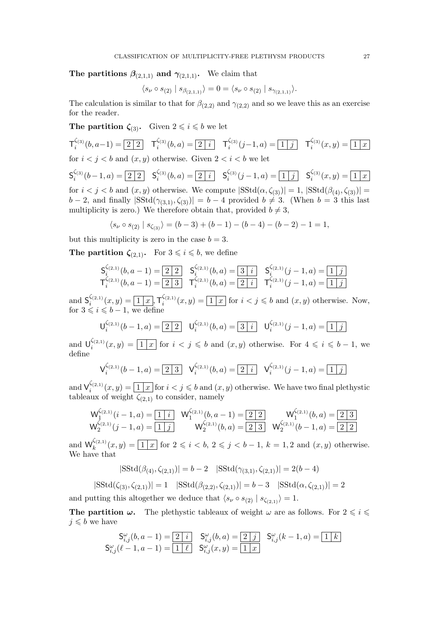The partitions  $\beta_{(2,1,1)}$  and  $\gamma_{(2,1,1)}$ . We claim that

$$
\langle s_{\nu} \circ s_{(2)} | s_{\beta_{(2,1,1)}} \rangle = 0 = \langle s_{\nu} \circ s_{(2)} | s_{\gamma_{(2,1,1)}} \rangle.
$$

The calculation is similar to that for  $\beta_{(2,2)}$  and  $\gamma_{(2,2)}$  and so we leave this as an exercise for the reader.

**The partition**  $\zeta_{(3)}$ **.** Given  $2 \leq i \leq b$  we let

$$
\mathsf{T}_{i}^{\zeta_{(3)}}(b, a-1) = \boxed{2 \ 2} \quad \mathsf{T}_{i}^{\zeta_{(3)}}(b, a) = \boxed{2 \ 1} \quad \mathsf{T}_{i}^{\zeta_{(3)}}(j-1, a) = \boxed{1 \ 1} \quad \mathsf{T}_{i}^{\zeta_{(3)}}(x, y) = \boxed{1 \ 1}
$$

for  $i < j < b$  and  $(x, y)$  otherwise. Given  $2 < i < b$  we let

$$
\mathsf{S}_i^{\zeta_{(3)}}(b-1,a) = \boxed{2\ 2}
$$
  $\mathsf{S}_i^{\zeta_{(3)}}(b,a) = \boxed{2\ 2\ 1}$   $\mathsf{S}_i^{\zeta_{(3)}}(j-1,a) = \boxed{1\ 3}$   $\mathsf{S}_i^{\zeta_{(3)}}(x,y) = \boxed{1\ 3}$  for  $i < j < b$  and  $(x,y)$  otherwise. We compute  $|\text{SStd}(\alpha,\zeta_{(3)})|=1$ ,  $|\text{SStd}(\beta_{(4)},\zeta_{(3)})|=b-2$ , and finally  $|\text{SStd}(\gamma_{(3,1)},\zeta_{(3)})|=b-4$  provided  $b \neq 3$ . (When  $b=3$  this last multiplicity is zero.) We therefore obtain that, provided  $b \neq 3$ ,

$$
\langle s_{\nu} \circ s_{(2)} \mid s_{\zeta_{(3)}} \rangle = (b-3) + (b-1) - (b-4) - (b-2) - 1 = 1,
$$

but this multiplicity is zero in the case  $b = 3$ .

The partition  $\zeta_{(2,1)}$ . For  $3 \leq i \leq b$ , we define

$$
S_i^{\zeta_{(2,1)}}(b, a-1) = \boxed{2 \ 2} \quad S_i^{\zeta_{(2,1)}}(b, a) = \boxed{3 \ 1} \quad S_i^{\zeta_{(2,1)}}(j-1, a) = \boxed{1 \ 1}
$$
  

$$
T_i^{\zeta_{(2,1)}}(b, a-1) = \boxed{2 \ 3} \quad T_i^{\zeta_{(2,1)}}(b, a) = \boxed{2 \ 1} \quad T_i^{\zeta_{(2,1)}}(j-1, a) = \boxed{1 \ 1}
$$

and  $\mathsf{S}_i^{\zeta_{(2,1)}}$  $\zeta_{(2,1)}(x,y) = \boxed{1|x|}, \mathsf{T}_i^{\zeta_{(2,1)}}$  $\mathcal{E}_i^{(z,1)}(x,y) = \boxed{1 \mid x}$  for  $i < j \leqslant b$  and  $(x,y)$  otherwise. Now, for  $3 \leqslant i \leqslant b - 1$ , we define

$$
\mathsf{U}_{i}^{\zeta_{(2,1)}}(b-1,a) = \boxed{2\mid 2} \quad \mathsf{U}_{i}^{\zeta_{(2,1)}}(b,a) = \boxed{3\mid i} \quad \mathsf{U}_{i}^{\zeta_{(2,1)}}(j-1,a) = \boxed{1\mid j}
$$

and  $\bigcup_{i}^{\zeta_{(2,1)}}$  $\mathcal{E}_i^{(2,1)}(x,y) = \boxed{1 \mid x}$  for  $i < j \leqslant b$  and  $(x,y)$  otherwise. For  $4 \leqslant i \leqslant b-1$ , we define

$$
\mathsf{V}_i^{\zeta_{(2,1)}}(b-1,a) = \boxed{2 \mid 3} \quad \mathsf{V}_i^{\zeta_{(2,1)}}(b,a) = \boxed{2 \mid i} \quad \mathsf{V}_i^{\zeta_{(2,1)}}(j-1,a) = \boxed{1 \mid j}
$$

and  $\mathsf{V}_i^{\zeta_{(2,1)}}$  $\mathcal{E}_i^{(2,1)}(x,y) = \boxed{1|x}$  for  $i < j \leq b$  and  $(x, y)$  otherwise. We have two final plethystic tableaux of weight  $\overline{\zeta_{(2,1)}}$  to consider, namely

$$
\mathsf{W}_{1}^{\zeta_{(2,1)}}(i-1,a) = \boxed{1 \mid i} \quad \mathsf{W}_{1}^{\zeta_{(2,1)}}(b,a-1) = \boxed{2 \mid 2} \qquad \mathsf{W}_{1}^{\zeta_{(2,1)}}(b,a) = \boxed{2 \mid 3}
$$
\n
$$
\mathsf{W}_{2}^{\zeta_{(2,1)}}(j-1,a) = \boxed{1 \mid j} \qquad \mathsf{W}_{2}^{\zeta_{(2,1)}}(b,a) = \boxed{2 \mid 3} \quad \mathsf{W}_{2}^{\zeta_{(2,1)}}(b-1,a) = \boxed{2 \mid 2}
$$

and  $\mathsf{W}_k^{\zeta_{(2,1)}}$  $\mathcal{L}_{k}^{(2,1)}(x,y) = \boxed{1 \mid x}$  for  $2 \leq i < b, 2 \leq j < b-1, k = 1, 2$  and  $(x, y)$  otherwise. We have that

$$
|{\rm SStd}(\beta_{(4)}, \zeta_{(2,1)})| = b - 2 \quad |{\rm SStd}(\gamma_{(3,1)}, \zeta_{(2,1)})| = 2(b - 4)
$$

$$
|SStd(\zeta_{(3)}, \zeta_{(2,1)})| = 1 \quad |SStd(\beta_{(2,2)}, \zeta_{(2,1)})| = b - 3 \quad |SStd(\alpha, \zeta_{(2,1)})| = 2
$$

and putting this altogether we deduce that  $\langle s_{\nu} \circ s_{(2)} | s_{\zeta_{(2,1)}} \rangle = 1.$ 

**The partition**  $\omega$ **.** The plethystic tableaux of weight  $\omega$  are as follows. For  $2 \leq i \leq$  $j \leqslant b$  we have

$$
\begin{array}{cc} \mathsf{S}_{i,j}^{\omega}(b,a-1)=\boxed{2\mid i} & \mathsf{S}_{i,j}^{\omega}(b,a)=\boxed{2\mid j} & \mathsf{S}_{i,j}^{\omega}(k-1,a)=\boxed{1\mid k} \\ \mathsf{S}_{i,j}^{\omega}(\ell-1,a-1)=\boxed{1\mid \ell} & \mathsf{S}_{i,j}^{\omega}(x,y)=\boxed{1\mid x} \end{array}
$$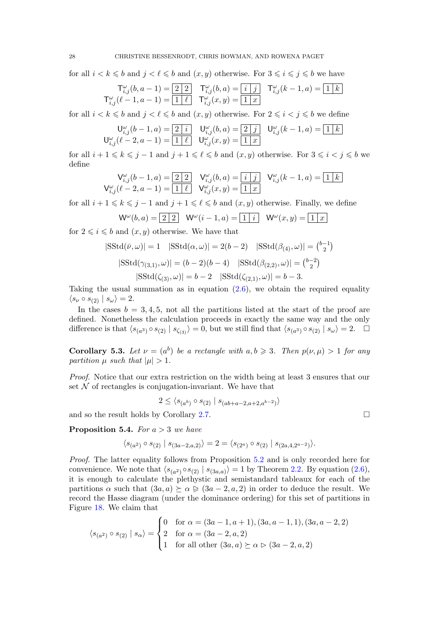for all  $i < k \leq b$  and  $j < \ell \leq b$  and  $(x, y)$  otherwise. For  $3 \leq i \leq j \leq b$  we have

$$
\mathsf{T}^{\omega}_{i,j}(b,a-1) = \boxed{2\mid 2} \quad \mathsf{T}^{\omega}_{i,j}(b,a) = \boxed{i\mid j} \quad \mathsf{T}^{\omega}_{i,j}(k-1,a) = \boxed{1\mid k}
$$
\n
$$
\mathsf{T}^{\omega}_{i,j}(\ell-1,a-1) = \boxed{1\mid \ell} \quad \mathsf{T}^{\omega}_{i,j}(x,y) = \boxed{1\mid x}
$$

for all  $i < k \leq b$  and  $j < \ell \leq b$  and  $(x, y)$  otherwise. For  $2 \leq i < j \leq b$  we define

$$
\mathsf{U}_{i,j}^{\omega}(b-1,a) = \boxed{2 \mid i} \quad \mathsf{U}_{i,j}^{\omega}(b,a) = \boxed{2 \mid j} \quad \mathsf{U}_{i,j}^{\omega}(k-1,a) = \boxed{1 \mid k}
$$
\n
$$
\mathsf{U}_{i,j}^{\omega}(\ell-2,a-1) = \boxed{1 \mid \ell} \quad \mathsf{U}_{i,j}^{\omega}(x,y) = \boxed{1 \mid x}
$$

for all  $i + 1 \leq k \leq j - 1$  and  $j + 1 \leq \ell \leq b$  and  $(x, y)$  otherwise. For  $3 \leq i < j \leq b$  we define

$$
\mathsf{V}^{\omega}_{i,j}(b-1,a) = \boxed{2\ 2} \quad \mathsf{V}^{\omega}_{i,j}(b,a) = \boxed{i\ \ j} \quad \mathsf{V}^{\omega}_{i,j}(k-1,a) = \boxed{1\ \ k}
$$
\n
$$
\mathsf{V}^{\omega}_{i,j}(\ell-2,a-1) = \boxed{1\ \ell} \quad \mathsf{V}^{\omega}_{i,j}(x,y) = \boxed{1\ \ x}
$$

for all  $i + 1 \leq k \leq j - 1$  and  $j + 1 \leq \ell \leq b$  and  $(x, y)$  otherwise. Finally, we define

$$
\mathsf{W}^{\omega}(b,a) = \boxed{2\mid 2} \quad \mathsf{W}^{\omega}(i-1,a) = \boxed{1\mid i} \quad \mathsf{W}^{\omega}(x,y) = \boxed{1\mid x}
$$

for  $2 \leq i \leq b$  and  $(x, y)$  otherwise. We have that

$$
|{\rm SStd}(\bar{\nu}, \omega)| = 1 \quad |{\rm SStd}(\alpha, \omega)| = 2(b - 2) \quad |{\rm SStd}(\beta_{(4)}, \omega)| = {\binom{b-1}{2}}
$$
  

$$
|{\rm SStd}(\gamma_{(3,1)}, \omega)| = (b - 2)(b - 4) \quad |{\rm SStd}(\beta_{(2,2)}, \omega)| = {\binom{b-2}{2}}
$$
  

$$
|{\rm SStd}(\zeta_{(3)}, \omega)| = b - 2 \quad |{\rm SStd}(\zeta_{(2,1)}, \omega)| = b - 3.
$$

Taking the usual summation as in equation  $(2.6)$ , we obtain the required equality  $\langle s_{\nu} \circ s_{(2)} | s_{\omega} \rangle = 2.$ 

In the cases  $b = 3, 4, 5$ , not all the partitions listed at the start of the proof are defined. Nonetheless the calculation proceeds in exactly the same way and the only difference is that  $\langle s_{(a^3)} \circ s_{(2)} | s_{\zeta_{(3)}} \rangle = 0$ , but we still find that  $\langle s_{(a^3)} \circ s_{(2)} | s_{\omega} \rangle = 2$ .

**Corollary 5.3.** Let  $\nu = (a^b)$  be a rectangle with  $a, b \ge 3$ . Then  $p(\nu, \mu) > 1$  for any partition  $\mu$  such that  $|\mu| > 1$ .

Proof. Notice that our extra restriction on the width being at least 3 ensures that our set  $\mathcal N$  of rectangles is conjugation-invariant. We have that

$$
2 \le \langle s_{(a^b)} \circ s_{(2)} \mid s_{(ab+a-2,a+2,a^{b-2})} \rangle
$$

and so the result holds by Corollary 2.7.

**Proposition 5.4.** For  $a > 3$  we have

$$
\langle s_{(a^2)} \circ s_{(2)} | s_{(3a-2,a,2)} \rangle = 2 = \langle s_{(2^a)} \circ s_{(2)} | s_{(2a,4,2^{a-2})} \rangle.
$$

Proof. The latter equality follows from Proposition 5.2 and is only recorded here for convenience. We note that  $\langle s_{(a^2)} \circ s_{(2)} | s_{(3a,a)} \rangle = 1$  by Theorem 2.2. By equation (2.6), it is enough to calculate the plethystic and semistandard tableaux for each of the partitions  $\alpha$  such that  $(3a, a) \succeq \alpha \geq (3a - 2, a, 2)$  in order to deduce the result. We record the Hasse diagram (under the dominance ordering) for this set of partitions in Figure 18. We claim that

$$
\langle s_{(a^2)} \circ s_{(2)} | s_{\alpha} \rangle = \begin{cases} 0 & \text{for } \alpha = (3a - 1, a + 1), (3a, a - 1, 1), (3a, a - 2, 2) \\ 2 & \text{for } \alpha = (3a - 2, a, 2) \\ 1 & \text{for all other } (3a, a) \succeq \alpha \rhd (3a - 2, a, 2) \end{cases}
$$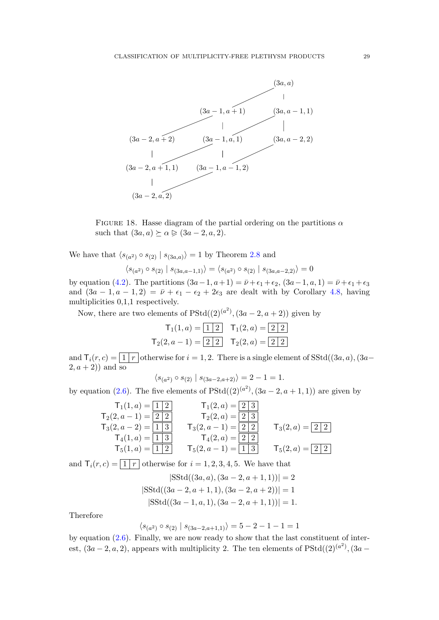

FIGURE 18. Hasse diagram of the partial ordering on the partitions  $\alpha$ such that  $(3a, a) \succeq \alpha \geq (3a - 2, a, 2)$ .

We have that  $\langle s_{(a^2)} \circ s_{(2)} | s_{(3a,a)} \rangle = 1$  by Theorem 2.8 and

$$
\langle s_{(a^2)} \circ s_{(2)} \mid s_{(3a,a-1,1)} \rangle = \langle s_{(a^2)} \circ s_{(2)} \mid s_{(3a,a-2,2)} \rangle = 0
$$

by equation (4.2). The partitions  $(3a-1, a+1) = \overline{\nu} + \epsilon_1 + \epsilon_2$ ,  $(3a-1, a, 1) = \overline{\nu} + \epsilon_1 + \epsilon_3$ and  $(3a - 1, a - 1, 2) = \bar{\nu} + \epsilon_1 - \epsilon_2 + 2\epsilon_3$  are dealt with by Corollary 4.8, having multiplicities 0,1,1 respectively.

Now, there are two elements of  $PStd((2)^{(a^2)}, (3a-2, a+2))$  given by

$$
\mathsf{T}_1(1, a) = \boxed{1 \ 2} \quad \mathsf{T}_1(2, a) = \boxed{2 \ 2}
$$
\n
$$
\mathsf{T}_2(2, a - 1) = \boxed{2 \ 2} \quad \mathsf{T}_2(2, a) = \boxed{2 \ 2}
$$

and  $\overline{T_i(r, c)} = \boxed{1 | r}$  otherwise for  $i = 1, 2$ . There is a single element of SStd((3*a, a*), (3*a*–  $(2, a + 2)$ ) and so

$$
\langle s_{(a^2)} \circ s_{(2)} | s_{(3a-2,a+2)} \rangle = 2 - 1 = 1.
$$

by equation (2.6). The five elements of  $PStd((2)^{(a^2)}, (3a-2, a+1, 1))$  are given by

$$
T_1(1, a) = \begin{array}{|c|c|c|c|c|} \hline T_1(1, a) &=& \begin{array}{|c|c|c|c|} \hline T_1(2, a) &=& \begin{array}{|c|c|c|} \hline 2 & & 3 \end{array} \hline \cr T_2(2, a - 1) &=& \begin{array}{|c|c|c|} \hline 2 & & 2 & 3 \end{array} \hline \cr T_3(2, a - 2) &=& \begin{array}{|c|c|c|} \hline 1 & 3 & & 7_3(2, a - 1) = \begin{array}{|c|c|c|} \hline 2 & 2 & 2 \end{array} \hline \cr T_4(1, a) &=& \begin{array}{|c|c|c|} \hline 1 & 3 & & 7_4(2, a) = \begin{array}{|c|c|c|} \hline 2 & 2 & 2 \end{array} \hline \cr T_5(1, a) &=& \begin{array}{|c|c|c|c|} \hline 1 & 2 & & 7_5(2, a - 1) = \begin{array}{|c|c|c|} \hline 1 & 3 & & 7_5(2, a) = \begin{array}{|c|c|c|} \hline 2 & 2 & 2 \end{array} \hline \cr \end{array}
$$

and  $\mathsf{T}_i(r,c) = \lfloor 1 \rfloor r$  otherwise for  $i = 1, 2, 3, 4, 5$ . We have that

$$
|{\rm SStd}((3a, a), (3a - 2, a + 1, 1))| = 2
$$
  

$$
|{\rm SStd}((3a - 2, a + 1, 1), (3a - 2, a + 2))| = 1
$$
  

$$
|{\rm SStd}((3a - 1, a, 1), (3a - 2, a + 1, 1))| = 1.
$$

Therefore

$$
\langle s_{(a^2)} \circ s_{(2)} \mid s_{(3a-2,a+1,1)} \rangle = 5 - 2 - 1 - 1 = 1
$$

by equation (2.6). Finally, we are now ready to show that the last constituent of interest,  $(3a-2, a, 2)$ , appears with multiplicity 2. The ten elements of PStd $((2)^{(a^2)}, (3a-$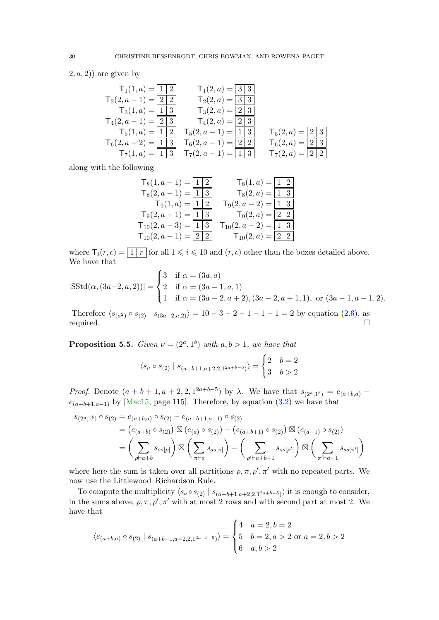$(2, a, 2)$  are given by

$$
\begin{array}{llll} \mathsf{T}_1(1,a) = \overline{\begin{array}{|c|c|c|c|c|} \hline \mathsf{T}_1(1,a) = \overline{\begin{array}{|c|c|} \hline 1&2\end{array}} & \mathsf{T}_1(2,a) = \overline{\begin{array}{|c|c|} \hline 3&3\end{array}} \\ \hline \mathsf{T}_2(2,a-1) = \overline{\begin{array}{|c|c|} \hline 2&2\end{array}} & \mathsf{T}_2(2,a) = \overline{\begin{array}{|c|c|} \hline 3&3\end{array}} \\ \hline \mathsf{T}_3(1,a) = \overline{\begin{array}{|c|c|} \hline 1&3\end{array}} & \mathsf{T}_3(2,a) = \overline{\begin{array}{|c|c|} \hline 2&3\end{array}} \\ \hline \mathsf{T}_4(2,a-1) = \overline{\begin{array}{|c|c|} \hline 2&3\end{array}} & \mathsf{T}_4(2,a-1) = \overline{\begin{array}{|c|c|} \hline 1&3\end{array}} & \mathsf{T}_5(2,a) = \overline{\begin{array}{|c|c|} \hline 2&3\end{array}} \\ \hline \mathsf{T}_6(2,a-2) = \overline{\begin{array}{|c|c|} \hline 1&3\end{array}} & \mathsf{T}_6(2,a-1) = \overline{\begin{array}{|c|c|} \hline 2&2\end{array}} & \mathsf{T}_6(2,a) = \overline{\begin{array}{|c|c|} \hline 2&3\end{array}} \\ \hline \mathsf{T}_7(1,a) = \overline{\begin{array}{|c|c|} \hline 1&3\end{array}} & \mathsf{T}_7(2,a-1) = \overline{\begin{array}{|c|c|} \hline 1&3\end{array}} & \mathsf{T}_7(2,a) = \overline{\begin{array}{|c|c|} \hline 2&2\end{array}} \end{array}
$$

along with the following

T8(1, a − 1) = 1 2 T8(1, a) = 1 2 T8(2, a − 1) = 1 3 T8(2, a) = 1 3 T9(1, a) = 1 2 T9(2, a − 2) = 1 3 T9(2, a − 1) = 1 3 T9(2, a) = 2 2 T10(2, a − 3) = 1 3 T10(2, a − 2) = 1 3 T10(2, a − 1) = 2 2 T10(2, a) = 2 2

where  $\mathsf{T}_i(r, c) = \boxed{1 | r}$  for all  $1 \leq i \leq 10$  and  $(r, c)$  other than the boxes detailed above. We have that

$$
|\text{SStd}(\alpha, (3a-2, a, 2))| = \begin{cases} 3 & \text{if } \alpha = (3a, a) \\ 2 & \text{if } \alpha = (3a - 1, a, 1) \\ 1 & \text{if } \alpha = (3a - 2, a + 2), (3a - 2, a + 1, 1), \text{ or } (3a - 1, a - 1, 2). \end{cases}
$$

Therefore  $\langle s_{(a^2)} \circ s_{(2)} | s_{(3a-2,a,2)} \rangle = 10 - 3 - 2 - 1 - 1 - 1 = 2$  by equation (2.6), as required.  $\square$ 

**Proposition 5.5.** Given  $\nu = (2^a, 1^b)$  with  $a, b > 1$ , we have that

$$
\langle s_{\nu} \circ s_{(2)} | s_{(a+b+1,a+2,2,1^{2a+b-5})} \rangle = \begin{cases} 2 & b=2 \\ 3 & b > 2 \end{cases}
$$

*Proof.* Denote  $(a + b + 1, a + 2, 2, 1^{2a+b-5})$  by  $\lambda$ . We have that  $s_{(2^a,1^b)} = e_{(a+b,a)}$  $e_{(a+b+1,a-1)}$  by [Mac15, page 115]. Therefore, by equation (3.2) we have that

$$
s_{(2^{a},1^{b})} \circ s_{(2)} = e_{(a+b,a)} \circ s_{(2)} - e_{(a+b+1,a-1)} \circ s_{(2)}
$$
  
=  $(e_{(a+b)} \circ s_{(2)}) \boxtimes (e_{(a)} \circ s_{(2)}) - (e_{(a+b+1)} \circ s_{(2)}) \boxtimes (e_{(a-1)} \circ s_{(2)})$   
=  $\left(\sum_{\rho \vdash a+b} s_{ss[\rho]}\right) \boxtimes \left(\sum_{\pi \vdash a} s_{ss[\pi]}\right) - \left(\sum_{\rho' \vdash a+b+1} s_{ss[\rho']} \right) \boxtimes \left(\sum_{\pi' \vdash a-1} s_{ss[\pi']}\right)$ 

where here the sum is taken over all partitions  $\rho, \pi, \rho', \pi'$  with no repeated parts. We now use the Littlewood–Richardson Rule.

To compute the multiplicity  $\langle s_{\nu} \circ s_{(2)} | s_{(a+b+1,a+2,2,1^{2a+b-5})} \rangle$  it is enough to consider, in the sums above,  $\rho, \pi, \rho', \pi'$  with at most 2 rows and with second part at most 2. We have that

$$
\langle e_{(a+b,a)} \circ s_{(2)} \mid s_{(a+b+1,a+2,2,1^{2a+b-5})} \rangle = \begin{cases} 4 & a=2, b=2 \\ 5 & b=2, a>2 \text{ or } a=2, b>2 \\ 6 & a,b>2 \end{cases}
$$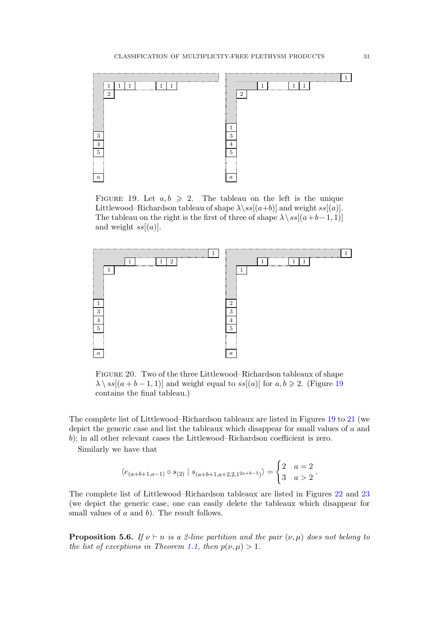

FIGURE 19. Let  $a, b \ge 2$ . The tableau on the left is the unique Littlewood–Richardson tableau of shape  $\lambda$ \ss[(a+b)] and weight ss[(a)]. The tableau on the right is the first of three of shape  $\lambda \setminus ss[(a+b-1, 1)]$ and weight  $ss[(a)]$ .



Figure 20. Two of the three Littlewood–Richardson tableaux of shape  $\lambda \setminus ss[(a + b - 1, 1)]$  and weight equal to  $ss[(a)]$  for  $a, b \geq 2$ . (Figure 19) contains the final tableau.)

The complete list of Littlewood–Richardson tableaux are listed in Figures 19 to 21 (we depict the generic case and list the tableaux which disappear for small values of a and b); in all other relevant cases the Littlewood–Richardson coefficient is zero.

Similarly we have that

$$
\langle e_{(a+b+1,a-1)} \circ s_{(2)} | s_{(a+b+1,a+2,2,1^{2a+b-5})} \rangle = \begin{cases} 2 & a=2 \\ 3 & a>2 \end{cases}.
$$

The complete list of Littlewood–Richardson tableaux are listed in Figures 22 and 23 (we depict the generic case, one can easily delete the tableaux which disappear for small values of  $a$  and  $b$ ). The result follows.

**Proposition 5.6.** If  $\nu \vdash n$  is a 2-line partition and the pair  $(\nu, \mu)$  does not belong to the list of exceptions in Theorem 1.1, then  $p(\nu, \mu) > 1$ .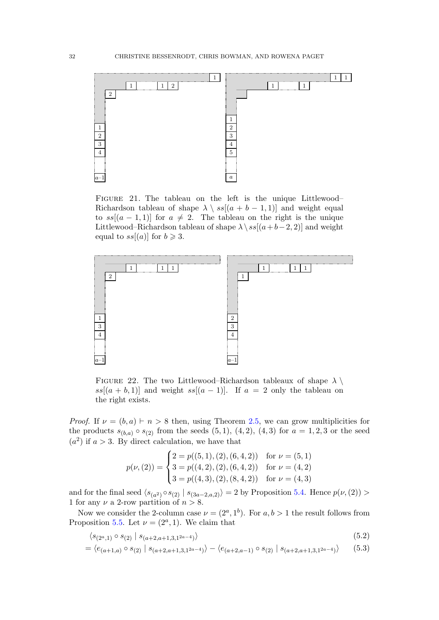

FIGURE 21. The tableau on the left is the unique Littlewood– Richardson tableau of shape  $\lambda \setminus ss[(a + b - 1, 1)]$  and weight equal to  $ss[(a-1,1)]$  for  $a \neq 2$ . The tableau on the right is the unique Littlewood–Richardson tableau of shape  $\lambda \ s s[(a+b-2, 2)]$  and weight equal to  $ss[(a)]$  for  $b \geq 3$ .



FIGURE 22. The two Littlewood–Richardson tableaux of shape  $\lambda \setminus \mathbb{R}$  $ss[(a + b, 1)]$  and weight  $ss[(a - 1)]$ . If  $a = 2$  only the tableau on the right exists.

*Proof.* If  $\nu = (b, a) \vdash n > 8$  then, using Theorem 2.5, we can grow multiplicities for the products  $s_{(b,a)} \circ s_{(2)}$  from the seeds  $(5,1), (4,2), (4,3)$  for  $a = 1,2,3$  or the seed  $(a<sup>2</sup>)$  if  $a > 3$ . By direct calculation, we have that

$$
p(\nu, (2)) = \begin{cases} 2 = p((5, 1), (2), (6, 4, 2)) & \text{for } \nu = (5, 1) \\ 3 = p((4, 2), (2), (6, 4, 2)) & \text{for } \nu = (4, 2) \\ 3 = p((4, 3), (2), (8, 4, 2)) & \text{for } \nu = (4, 3) \end{cases}
$$

and for the final seed  $\langle s_{(a^2)} \circ s_{(2)} | s_{(3a-2,a,2)} \rangle = 2$  by Proposition 5.4. Hence  $p(\nu, (2)) >$ 1 for any  $\nu$  a 2-row partition of  $n > 8$ .

Now we consider the 2-column case  $\nu = (2^a, 1^b)$ . For  $a, b > 1$  the result follows from Proposition 5.5. Let  $\nu = (2^a, 1)$ . We claim that

$$
\langle s_{(2^a,1)} \circ s_{(2)} \mid s_{(a+2,a+1,3,1^{2a-4})} \rangle \tag{5.2}
$$

$$
= \langle e_{(a+1,a)} \circ s_{(2)} \mid s_{(a+2,a+1,3,1^{2a-4})} \rangle - \langle e_{(a+2,a-1)} \circ s_{(2)} \mid s_{(a+2,a+1,3,1^{2a-4})} \rangle \tag{5.3}
$$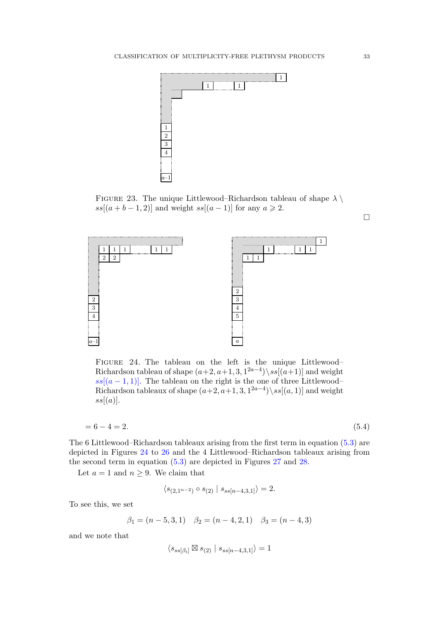

FIGURE 23. The unique Littlewood–Richardson tableau of shape  $\lambda \setminus \mathbb{R}$  $ss[(a + b - 1, 2)]$  and weight  $ss[(a - 1)]$  for any  $a \ge 2$ .



Figure 24. The tableau on the left is the unique Littlewood– Richardson tableau of shape  $(a+2, a+1, 3, 1^{2a-4})$  ss[ $(a+1)$ ] and weight  $ss[(a-1,1)]$ . The tableau on the right is the one of three Littlewood– Richardson tableaux of shape  $(a+2, a+1, 3, 1^{2a-4})\$ ss[ $(a, 1)$ ] and weight  $ss[(a)].$ 

$$
= 6 - 4 = 2. \tag{5.4}
$$

The 6 Littlewood–Richardson tableaux arising from the first term in equation (5.3) are depicted in Figures 24 to 26 and the 4 Littlewood–Richardson tableaux arising from the second term in equation (5.3) are depicted in Figures 27 and 28.

Let  $a = 1$  and  $n \geq 9$ . We claim that

$$
\langle s_{(2,1^{n-2})} \circ s_{(2)} | s_{ss[n-4,3,1]} \rangle = 2.
$$

To see this, we set

$$
\beta_1 = (n-5,3,1) \quad \beta_2 = (n-4,2,1) \quad \beta_3 = (n-4,3)
$$

and we note that

$$
\langle s_{ss[\beta_i]} \boxtimes s_{(2)} \mid s_{ss[n-4,3,1]} \rangle = 1
$$

 $\Box$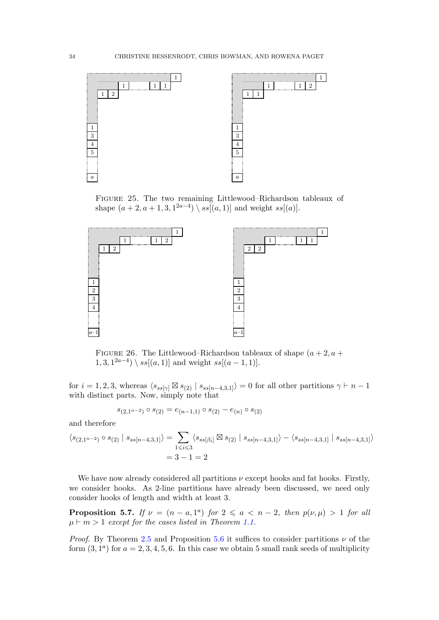

Figure 25. The two remaining Littlewood–Richardson tableaux of shape  $(a+2, a+1, 3, 1^{2a-4}) \setminus ss[(a, 1)]$  and weight  $ss[(a)]$ .



FIGURE 26. The Littlewood–Richardson tableaux of shape  $(a + 2, a +$  $1, 3, 1^{2a-4})$  \ ss[(a, 1)] and weight ss[(a - 1, 1)].

for  $i = 1, 2, 3$ , whereas  $\langle s_{ss[\gamma]} \boxtimes s_{(2)} | s_{ss[n-4,3,1]} \rangle = 0$  for all other partitions  $\gamma \vdash n-1$ with distinct parts. Now, simply note that

$$
s_{(2,1^{n-2})} \circ s_{(2)} = e_{(n-1,1)} \circ s_{(2)} - e_{(n)} \circ s_{(2)}
$$

and therefore

$$
\langle s_{(2,1^{n-2})} \circ s_{(2)} | s_{ss[n-4,3,1]} \rangle = \sum_{1 \le i \le 3} \langle s_{ss[\beta_i]} \boxtimes s_{(2)} | s_{ss[n-4,3,1]} \rangle - \langle s_{ss[n-4,3,1]} | s_{ss[n-4,3,1]} \rangle
$$
  
= 3 - 1 = 2

We have now already considered all partitions  $\nu$  except hooks and fat hooks. Firstly, we consider hooks. As 2-line partitions have already been discussed, we need only consider hooks of length and width at least 3.

**Proposition 5.7.** If  $\nu = (n - a, 1^a)$  for  $2 \le a < n - 2$ , then  $p(\nu, \mu) > 1$  for all  $\mu \vdash m > 1$  except for the cases listed in Theorem 1.1.

*Proof.* By Theorem 2.5 and Proposition 5.6 it suffices to consider partitions  $\nu$  of the form  $(3, 1^a)$  for  $a = 2, 3, 4, 5, 6$ . In this case we obtain 5 small rank seeds of multiplicity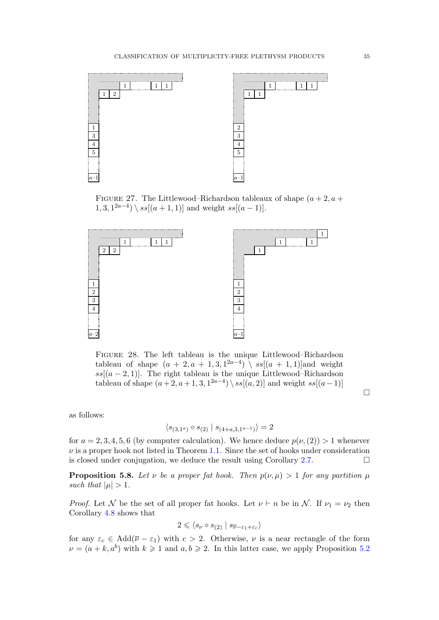

FIGURE 27. The Littlewood–Richardson tableaux of shape  $(a + 2, a +$  $1, 3, 1^{2a-4})$  \  $ss[(a + 1, 1)]$  and weight  $ss[(a - 1)]$ .



Figure 28. The left tableau is the unique Littlewood–Richardson tableau of shape  $(a + 2, a + 1, 3, 1^{2a-4}) \setminus ss[(a + 1, 1)]$  and weight  $ss[(a-2,1)]$ . The right tableau is the unique Littlewood–Richardson tableau of shape  $(a+2, a+1, 3, 1^{2a-4})$  \  $ss[(a, 2)]$  and weight  $ss[(a-1)]$ 

 $\Box$ 

as follows:

$$
\langle s_{(3,1^a)} \circ s_{(2)} | s_{(4+a,3,1^{a-1})} \rangle = 2
$$

for  $a = 2, 3, 4, 5, 6$  (by computer calculation). We hence deduce  $p(\nu,(2)) > 1$  whenever  $\nu$  is a proper hook not listed in Theorem 1.1. Since the set of hooks under consideration is closed under conjugation, we deduce the result using Corollary 2.7.  $\Box$ 

**Proposition 5.8.** Let v be a proper fat hook. Then  $p(\nu, \mu) > 1$  for any partition  $\mu$ such that  $|\mu| > 1$ .

*Proof.* Let N be the set of all proper fat hooks. Let  $\nu \vdash n$  be in N. If  $\nu_1 = \nu_2$  then Corollary 4.8 shows that

$$
2 \leqslant \langle s_{\nu} \circ s_{(2)} \mid s_{\overline{\nu}-\varepsilon_1+\varepsilon_c} \rangle
$$

for any  $\varepsilon_c \in \text{Add}(\overline{\nu} - \varepsilon_1)$  with  $c > 2$ . Otherwise,  $\nu$  is a near rectangle of the form  $\nu = (a + k, a^b)$  with  $k \geq 1$  and  $a, b \geq 2$ . In this latter case, we apply Proposition 5.2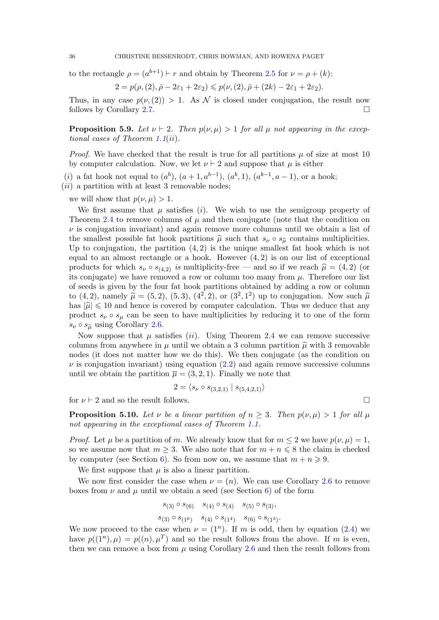to the rectangle  $\rho = (a^{b+1}) \vdash r$  and obtain by Theorem 2.5 for  $\nu = \rho + (k)$ :

$$
2=p(\rho,(2),\bar{\rho}-2\varepsilon_1+2\varepsilon_2)\leqslant p(\nu,(2),\bar{\rho}+(2k)-2\varepsilon_1+2\varepsilon_2).
$$

Thus, in any case  $p(\nu,(2)) > 1$ . As N is closed under conjugation, the result now follows by Corollary 2.7.

**Proposition 5.9.** Let  $\nu \vdash 2$ . Then  $p(\nu, \mu) > 1$  for all  $\mu$  not appearing in the exceptional cases of Theorem 1.1(ii).

*Proof.* We have checked that the result is true for all partitions  $\mu$  of size at most 10 by computer calculation. Now, we let  $\nu \vdash 2$  and suppose that  $\mu$  is either

(*i*) a fat hook not equal to  $(a^b)$ ,  $(a+1, a^{b-1})$ ,  $(a^b, 1)$ ,  $(a^{b-1}, a-1)$ , or a hook;

 $(ii)$  a partition with at least 3 removable nodes;

we will show that  $p(\nu, \mu) > 1$ .

We first assume that  $\mu$  satisfies (i). We wish to use the semigroup property of Theorem 2.4 to remove columns of  $\mu$  and then conjugate (note that the condition on  $\nu$  is conjugation invariant) and again remove more columns until we obtain a list of the smallest possible fat hook partitions  $\hat{\mu}$  such that  $s_{\nu} \circ s_{\hat{\mu}}$  contains multiplicities. Up to conjugation, the partition  $(4, 2)$  is the unique smallest fat hook which is not equal to an almost rectangle or a hook. However  $(4, 2)$  is on our list of exceptional products for which  $s_{\nu} \circ s_{(4,2)}$  is multiplicity-free — and so if we reach  $\hat{\mu} = (4, 2)$  (or its conjugate) we have removed a row or column too many from  $\mu$ . Therefore our list of seeds is given by the four fat hook partitions obtained by adding a row or column to  $(4,2)$ , namely  $\hat{\mu} = (5,2)$ ,  $(5,3)$ ,  $(4^2,2)$ , or  $(3^2,1^2)$  up to conjugation. Now such  $\hat{\mu}$ has  $|\hat{\mu}| \leq 10$  and hence is covered by computer calculation. Thus we deduce that any product  $s_{\nu} \circ s_{\mu}$  can be seen to have multiplicities by reducing it to one of the form  $s_{\nu} \circ s_{\widehat{\mu}}$  using Corollary 2.6.

Now suppose that  $\mu$  satisfies *(ii)*. Using Theorem 2.4 we can remove successive columns from anywhere in  $\mu$  until we obtain a 3 column partition  $\hat{\mu}$  with 3 removable nodes (it does not matter how we do this). We then conjugate (as the condition on  $\nu$  is conjugation invariant) using equation (2.2) and again remove successive columns until we obtain the partition  $\bar{\mu} = (3, 2, 1)$ . Finally we note that

$$
2 = \langle s_{\nu} \circ s_{(3,2,1)} | s_{(5,4,2,1)} \rangle
$$

for  $\nu \vdash 2$  and so the result follows.

**Proposition 5.10.** Let  $\nu$  be a linear partition of  $n \geq 3$ . Then  $p(\nu, \mu) > 1$  for all  $\mu$ not appearing in the exceptional cases of Theorem 1.1.

*Proof.* Let  $\mu$  be a partition of m. We already know that for  $m \leq 2$  we have  $p(\nu, \mu) = 1$ , so we assume now that  $m \geq 3$ . We also note that for  $m + n \leq 8$  the claim is checked by computer (see Section 6). So from now on, we assume that  $m + n \geq 9$ .

We first suppose that  $\mu$  is also a linear partition.

We now first consider the case when  $\nu = (n)$ . We can use Corollary 2.6 to remove boxes from  $\nu$  and  $\mu$  until we obtain a seed (see Section 6) of the form

$$
s_{(3)} \circ s_{(6)} \quad s_{(4)} \circ s_{(4)} \quad s_{(5)} \circ s_{(3)},
$$

$$
s_{(3)} \circ s_{(1^6)} \quad s_{(4)} \circ s_{(1^4)} \quad s_{(6)} \circ s_{(1^3)}.
$$

We now proceed to the case when  $\nu = (1^n)$ . If m is odd, then by equation (2.4) we have  $p((1^n), \mu) = p((n), \mu^T)$  and so the result follows from the above. If m is even, then we can remove a box from  $\mu$  using Corollary 2.6 and then the result follows from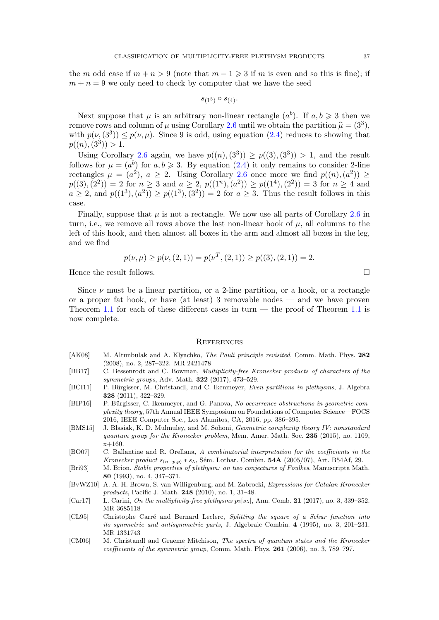the m odd case if  $m + n > 9$  (note that  $m - 1 \geq 3$  if m is even and so this is fine); if  $m + n = 9$  we only need to check by computer that we have the seed

$$
s_{(1^5)} \circ s_{(4)}.
$$

Next suppose that  $\mu$  is an arbitrary non-linear rectangle  $(a^b)$ . If  $a, b \geq 3$  then we remove rows and column of  $\mu$  using Corollary 2.6 until we obtain the partition  $\hat{\mu} = (3^3)$ ,<br>with  $p(\mu \hat{(3^3)}) \leq p(\mu \hat{\mu})$ . Since 9 is odd, using equation (2.4) reduces to showing that with  $p(\nu,(3^3)) \leq p(\nu,\mu)$ . Since 9 is odd, using equation (2.4) reduces to showing that  $p((n),(3^3)) > 1.$ 

Using Corollary 2.6 again, we have  $p((n),(3^3)) \geq p((3),(3^3)) > 1$ , and the result follows for  $\mu = (a^b)$  for  $a, b \ge 3$ . By equation  $(2.4)$  it only remains to consider 2-line rectangles  $\mu = (a^2)$ ,  $a \ge 2$ . Using Corollary 2.6 once more we find  $p((n), (a^2)) \ge$  $p((3),(2^2)) = 2$  for  $n \geq 3$  and  $a \geq 2$ ,  $p((1^n),(a^2)) \geq p((1^4),(2^2)) = 3$  for  $n \geq 4$  and  $a \ge 2$ , and  $p((1^3), (a^2)) \ge p((1^3), (3^2)) = 2$  for  $a \ge 3$ . Thus the result follows in this case.

Finally, suppose that  $\mu$  is not a rectangle. We now use all parts of Corollary 2.6 in turn, i.e., we remove all rows above the last non-linear hook of  $\mu$ , all columns to the left of this hook, and then almost all boxes in the arm and almost all boxes in the leg, and we find

$$
p(\nu,\mu) \ge p(\nu,(2,1)) = p(\nu^T,(2,1)) \ge p((3),(2,1)) = 2.
$$

Hence the result follows.  $\Box$ 

Since  $\nu$  must be a linear partition, or a 2-line partition, or a hook, or a rectangle or a proper fat hook, or have (at least) 3 removable nodes — and we have proven Theorem 1.1 for each of these different cases in turn — the proof of Theorem 1.1 is now complete.

#### **REFERENCES**

- [AK08] M. Altunbulak and A. Klyachko, The Pauli principle revisited, Comm. Math. Phys. 282 (2008), no. 2, 287–322. MR 2421478
- [BB17] C. Bessenrodt and C. Bowman, Multiplicity-free Kronecker products of characters of the symmetric groups, Adv. Math. 322 (2017), 473–529.
- [BCI11] P. Bürgisser, M. Christandl, and C. Ikenmeyer, Even partitions in plethysms, J. Algebra 328 (2011), 322–329.
- [BIP16] P. Bürgisser, C. Ikenmeyer, and G. Panova, No occurrence obstructions in geometric complexity theory, 57th Annual IEEE Symposium on Foundations of Computer Science—FOCS 2016, IEEE Computer Soc., Los Alamitos, CA, 2016, pp. 386–395.
- [BMS15] J. Blasiak, K. D. Mulmuley, and M. Sohoni, *Geometric complexity theory IV: nonstandard* quantum group for the Kronecker problem, Mem. Amer. Math. Soc. 235 (2015), no. 1109,  $x+160.$
- [BO07] C. Ballantine and R. Orellana, A combinatorial interpretation for the coefficients in the Kronecker product  $s_{(n-p,p)} * s_\lambda$ , Sém. Lothar. Combin. 54A (2005/07), Art. B54Af, 29.
- [Bri93] M. Brion, Stable properties of plethysm: on two conjectures of Foulkes, Manuscripta Math. 80 (1993), no. 4, 347–371.
- [BvWZ10] A. A. H. Brown, S. van Willigenburg, and M. Zabrocki, Expressions for Catalan Kronecker products, Pacific J. Math. 248 (2010), no. 1, 31–48.
- [Car17] L. Carini, On the multiplicity-free plethysms  $p_2[s_\lambda]$ , Ann. Comb. 21 (2017), no. 3, 339–352. MR 3685118
- [CL95] Christophe Carré and Bernard Leclerc, Splitting the square of a Schur function into its symmetric and antisymmetric parts, J. Algebraic Combin. 4 (1995), no. 3, 201–231. MR 1331743
- [CM06] M. Christandl and Graeme Mitchison, The spectra of quantum states and the Kronecker coefficients of the symmetric group, Comm. Math. Phys. 261 (2006), no. 3, 789–797.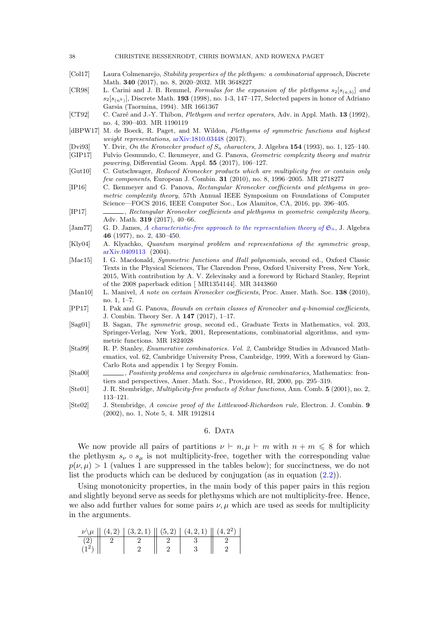- [Col17] Laura Colmenarejo, Stability properties of the plethysm: a combinatorial approach, Discrete Math. 340 (2017), no. 8, 2020–2032. MR 3648227
- [CR98] L. Carini and J. B. Remmel, Formulas for the expansion of the plethysms  $s_2[s_{(a,b)}]$  and  $s_2[s_{(nk)}],$  Discrete Math. 193 (1998), no. 1-3, 147–177, Selected papers in honor of Adriano Garsia (Taormina, 1994). MR 1661367
- [CT92] C. Carré and J.-Y. Thibon, Plethysm and vertex operators, Adv. in Appl. Math. 13 (1992), no. 4, 390–403. MR 1190119
- [dBPW17] M. de Boeck, R. Paget, and M. Wildon, Plethysms of symmetric functions and highest weight representations, [arXiv:1810.03448](https://arxiv.org/pdf/1810.03448.pdf) (2017).
- [Dvi93] Y. Dvir, On the Kronecker product of  $S_n$  characters, J. Algebra 154 (1993), no. 1, 125–140.
- [GIP17] Fulvio Gesmundo, C. Ikenmeyer, and G. Panova, Geometric complexity theory and matrix powering, Differential Geom. Appl. 55 (2017), 106–127.
- [Gut10] C. Gutschwager, Reduced Kronecker products which are multiplicity free or contain only few components, European J. Combin. 31 (2010), no. 8, 1996–2005. MR 2718277
- [IP16] C. Ikenmeyer and G. Panova, Rectangular Kronecker coefficients and plethysms in geometric complexity theory, 57th Annual IEEE Symposium on Foundations of Computer Science—FOCS 2016, IEEE Computer Soc., Los Alamitos, CA, 2016, pp. 396–405.
- [IP17] , Rectangular Kronecker coefficients and plethysms in geometric complexity theory, Adv. Math. 319 (2017), 40–66.
- [Jam77] G. D. James, [A characteristic-free approach to the representation theory of](http://dx.doi.org/10.1016/0021-8693(77)90380-5)  $\mathfrak{S}_n$ , J. Algebra 46 (1977), no. 2, 430–450.
- [Kly04] A. Klyachko, Quantum marginal problem and representations of the symmetric group, [arXiv.0409113](https://arxiv.org/abs/0409113 ) (2004).
- [Mac15] I. G. Macdonald, *Symmetric functions and Hall polynomials*, second ed., Oxford Classic Texts in the Physical Sciences, The Clarendon Press, Oxford University Press, New York, 2015, With contribution by A. V. Zelevinsky and a foreword by Richard Stanley, Reprint of the 2008 paperback edition [ MR1354144]. MR 3443860
- [Man10] L. Manivel, A note on certain Kronecker coefficients, Proc. Amer. Math. Soc. 138 (2010), no. 1, 1–7.
- [PP17] I. Pak and G. Panova, Bounds on certain classes of Kronecker and q-binomial coefficients, J. Combin. Theory Ser. A 147 (2017), 1–17.
- [Sag01] B. Sagan, The symmetric group, second ed., Graduate Texts in Mathematics, vol. 203, Springer-Verlag, New York, 2001, Representations, combinatorial algorithms, and symmetric functions. MR 1824028
- [Sta99] R. P. Stanley, Enumerative combinatorics. Vol. 2, Cambridge Studies in Advanced Mathematics, vol. 62, Cambridge University Press, Cambridge, 1999, With a foreword by Gian-Carlo Rota and appendix 1 by Sergey Fomin.
- [Sta00] , Positivity problems and conjectures in algebraic combinatorics, Mathematics: frontiers and perspectives, Amer. Math. Soc., Providence, RI, 2000, pp. 295–319.
- [Ste01] J. R. Stembridge, Multiplicity-free products of Schur functions, Ann. Comb. 5 (2001), no. 2, 113–121.
- [Ste02] J. Stembridge, A concise proof of the Littlewood-Richardson rule, Electron. J. Combin. 9 (2002), no. 1, Note 5, 4. MR 1912814

#### 6. DATA

We now provide all pairs of partitions  $\nu \vdash n, \mu \vdash m$  with  $n + m \leq 8$  for which the plethysm  $s_{\nu} \circ s_{\mu}$  is not multiplicity-free, together with the corresponding value  $p(\nu,\mu) > 1$  (values 1 are suppressed in the tables below); for succinctness, we do not list the products which can be deduced by conjugation (as in equation (2.2)).

Using monotonicity properties, in the main body of this paper pairs in this region and slightly beyond serve as seeds for plethysms which are not multiplicity-free. Hence, we also add further values for some pairs  $\nu, \mu$  which are used as seeds for multiplicity in the arguments.

|         | $\nu \backslash \mu \parallel (4,2) \parallel (3,2,1) \parallel (5,2) \parallel (4,2,1) \parallel (4,2^{2}) \parallel$ |  |  |
|---------|------------------------------------------------------------------------------------------------------------------------|--|--|
|         |                                                                                                                        |  |  |
| $(1^2)$ |                                                                                                                        |  |  |